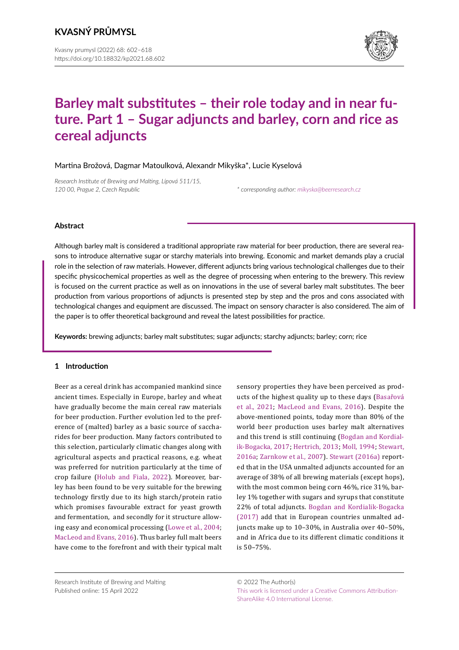

# **Barley malt substitutes – their role today and in near future. Part 1 – Sugar adjuncts and barley, corn and rice as cereal adjuncts**

Martina Brožová, Dagmar Matoulková, Alexandr Mikyška\*, Lucie Kyselová

*Research Institute of Brewing and Malting, Lípová 511/15, 120 00, Prague 2, Czech Republic \* corresponding author: [mikyska@beerresearch.cz](mailto:mikyska%40beerresearch.cz?subject=)*

# **Abstract**

Although barley malt is considered a traditional appropriate raw material for beer production, there are several reasons to introduce alternative sugar or starchy materials into brewing. Economic and market demands play a crucial role in the selection of raw materials. However, different adjuncts bring various technological challenges due to their specific physicochemical properties as well as the degree of processing when entering to the brewery. This review is focused on the current practice as well as on innovations in the use of several barley malt substitutes. The beer production from various proportions of adjuncts is presented step by step and the pros and cons associated with technological changes and equipment are discussed. The impact on sensory character is also considered. The aim of the paper is to offer theoretical background and reveal the latest possibilities for practice.

**Keywords:** brewing adjuncts; barley malt substitutes; sugar adjuncts; starchy adjuncts; barley; corn; rice

# **1 Introduction**

Beer as a cereal drink has accompanied mankind since ancient times. Especially in Europe, barley and wheat have gradually become the main cereal raw materials for beer production. Further evolution led to the preference of (malted) barley as a basic source of saccharides for beer production. Many factors contributed to this selection, particularly climatic changes along with agricultural aspects and practical reasons, e.g. wheat was preferred for nutrition particularly at the time of crop failure ([Holub and Fiala, 2022](#page-15-0)). Moreover, barley has been found to be very suitable for the brewing technology firstly due to its high starch/protein ratio which promises favourable extract for yeast growth and fermentation, and secondly for it structure allowing easy and economical processing [\(Lowe et al., 2004](#page-15-1); [MacLeod and Evans, 2016\)](#page-15-2). Thus barley full malt beers have come to the forefront and with their typical malt

sensory properties they have been perceived as products of the highest quality up to these days (Basařová et al., 2021; [MacLeod and Evans, 2016](#page-15-2)). Despite the above-mentioned points, today more than 80% of the world beer production uses barley malt alternatives and this trend is still continuing ([Bogdan and Kordial](#page-14-0)[ik-Bogacka, 2017](#page-14-0); [Hertrich, 2013;](#page-15-3) [Moll, 1994;](#page-15-4) [Stewart,](#page-16-0) [2016a;](#page-16-0) [Zarnkow et al., 2007\)](#page-16-1). [Stewart \(2016a\)](#page-16-0) reported that in the USA unmalted adjuncts accounted for an average of 38% of all brewing materials (except hops), with the most common being corn 46%, rice 31%, barley 1% together with sugars and syrups that constitute 22% of total adjuncts. [Bogdan and Kordialik-Bogacka](#page-14-0) (2017) add that in European countries unmalted adjuncts make up to 10–30%, in Australia over 40–50%, and in Africa due to its different climatic conditions it is 50–75%.

Research Institute of Brewing and Malting Published online: 15 April 2022

© 2022 The Author(s) [This work is licensed under a Creative Commons Attribution-](https://creativecommons.org/licenses/by-sa/4.0/)[ShareAlike 4.0 International License.](https://creativecommons.org/licenses/by-sa/4.0/)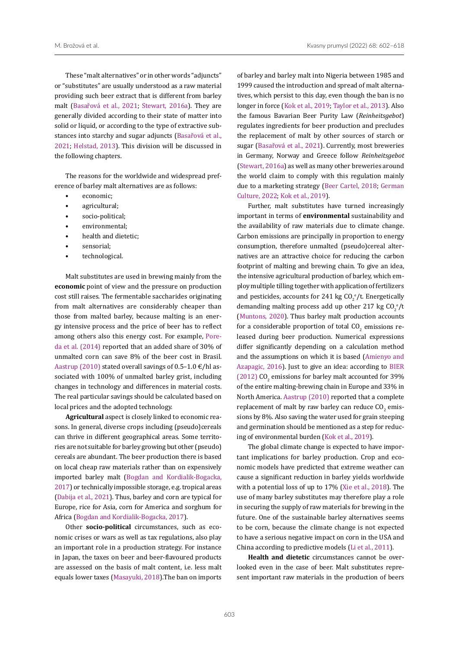M. Brožová et al. Kvasny prumysl (2022) 68: 602–618

These "malt alternatives" or in other words "adjuncts" or "substitutes" are usually understood as a raw material providing such beer extract that is different from barley malt (Basařová et al., 2021; [Stewart, 2016a\)](#page-16-0). They are generally divided according to their state of matter into solid or liquid, or according to the type of extractive substances into starchy and sugar adjuncts (Basařová et al., 2021; [Helstad, 2013\)](#page-15-5). This division will be discussed in the following chapters.

The reasons for the worldwide and widespread preference of barley malt alternatives are as follows:

- economic;
- agricultural;
- socio-political;
- environmental;
- health and dietetic;
- sensorial:
- technological.

Malt substitutes are used in brewing mainly from the **economic** point of view and the pressure on production cost still raises. The fermentable saccharides originating from malt alternatives are considerably cheaper than those from malted barley, because malting is an energy intensive process and the price of beer has to reflect among others also this energy cost. For example, [Pore](#page-16-2)[da et al. \(2014\)](#page-16-2) reported that an added share of 30% of unmalted corn can save 8% of the beer cost in Brasil. Aastrup (2010) stated overall savings of 0.5–1.0  $\epsilon$ /hl associated with 100% of unmalted barley grist, including changes in technology and differences in material costs. The real particular savings should be calculated based on local prices and the adopted technology.

**Agricultural** aspect is closely linked to economic reasons. In general, diverse crops including (pseudo)cereals can thrive in different geographical areas. Some territories are not suitable for barley growing but other (pseudo) cereals are abundant. The beer production there is based on local cheap raw materials rather than on expensively imported barley malt [\(Bogdan and Kordialik-Bogacka,](#page-14-0)  [2017\)](#page-14-0) or technically impossible storage, e.g. tropical areas [\(Dabija et al., 2021](#page-14-1)). Thus, barley and corn are typical for Europe, rice for Asia, corn for America and sorghum for Africa ([Bogdan and Kordialik-Bogacka, 2017\)](#page-14-0).

Other **socio-political** circumstances, such as economic crises or wars as well as tax regulations, also play an important role in a production strategy. For instance in Japan, the taxes on beer and beer-flavoured products are assessed on the basis of malt content, i.e. less malt equals lower taxes [\(Masayuki, 2018](#page-15-6)).The ban on imports

of barley and barley malt into Nigeria between 1985 and 1999 caused the introduction and spread of malt alternatives, which persist to this day, even though the ban is no longer in force ([Kok et al., 2019;](#page-15-7) [Taylor et al., 2013](#page-16-3)). Also the famous Bavarian Beer Purity Law (*Reinheitsgebot*) regulates ingredients for beer production and precludes the replacement of malt by other sources of starch or sugar (Basařová et al., 2021). Currently, most breweries in Germany, Norway and Greece follow *Reinheitsgebot*  [\(Stewart, 2016a\)](#page-16-0) as well as many other breweries around the world claim to comply with this regulation mainly due to a marketing strategy [\(Beer Cartel, 2018;](#page-14-2) [German](#page-15-8) [Culture, 2022;](#page-15-8) [Kok et al., 2019\)](#page-15-7).

Further, malt substitutes have turned increasingly important in terms of **environmental** sustainability and the availability of raw materials due to climate change. Carbon emissions are principally in proportion to energy consumption, therefore unmalted (pseudo)cereal alternatives are an attractive choice for reducing the carbon footprint of malting and brewing chain. To give an idea, the intensive agricultural production of barley, which employ multiple tilling together with application of fertilizers and pesticides, accounts for 241 kg  $CO_2^{\ e}/t$ . Energetically demanding malting process add up other 217 kg  $CO_2^{\ e}/t$ ([Muntons, 2020\)](#page-15-9). Thus barley malt production accounts for a considerable proportion of total  $\mathsf{U}_{2}$  emissions released during beer production. Numerical expressions differ significantly depending on a calculation method and the assumptions on which it is based ([Amienyo and](#page-14-3) [Azapagic, 2016](#page-14-3)). Just to give an idea: according to [BIER](#page-14-4)  $(2012)$  CO<sub>2</sub> emissions for barley malt accounted for 39% of the entire malting-brewing chain in Europe and 33% in North America. Aastrup (2010) reported that a complete replacement of malt by raw barley can reduce  $\text{CO}_2$  emissions by 8%. Also saving the water used for grain steeping and germination should be mentioned as a step for reducing of environmental burden [\(Kok et al., 2019\)](#page-15-7).

The global climate change is expected to have important implications for barley production. Crop and economic models have predicted that extreme weather can cause a significant reduction in barley yields worldwide with a potential loss of up to 17% ([Xie et al., 2018](#page-16-4)). The use of many barley substitutes may therefore play a role in securing the supply of raw materials for brewing in the future. One of the sustainable barley alternatives seems to be corn, because the climate change is not expected to have a serious negative impact on corn in the USA and China according to predictive models ([Li et al., 2011\)](#page-15-10).

**Health and dietetic** circumstances cannot be overlooked even in the case of beer. Malt substitutes represent important raw materials in the production of beers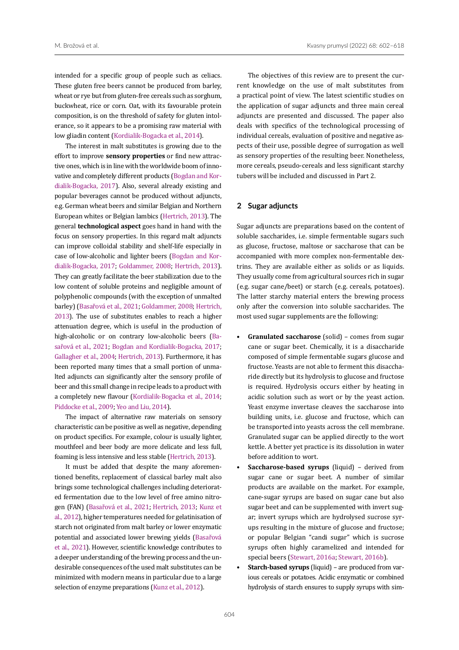intended for a specific group of people such as celiacs. These gluten free beers cannot be produced from barley, wheat or rye but from gluten-free cereals such as sorghum, buckwheat, rice or corn. Oat, with its favourable protein composition, is on the threshold of safety for gluten intolerance, so it appears to be a promising raw material with low gliadin content [\(Kordialik-Bogacka et al., 2014](#page-15-11)).

The interest in malt substitutes is growing due to the effort to improve **sensory properties** or find new attractive ones, which is in line with the worldwide boom of innovative and completely different products [\(Bogdan and Kor](#page-14-0)[dialik-Bogacka, 2017\)](#page-14-0). Also, several already existing and popular beverages cannot be produced without adjuncts, e.g. German wheat beers and similar Belgian and Northern European whites or Belgian lambics [\(Hertrich, 2013\)](#page-15-3). The general **technological aspect** goes hand in hand with the focus on sensory properties. In this regard malt adjuncts can improve colloidal stability and shelf-life especially in case of low-alcoholic and lighter beers [\(Bogdan and Kor](#page-14-0)[dialik-Bogacka, 2017](#page-14-0); Goldammer, 2008; [Hertrich, 2013\)](#page-15-3). They can greatly facilitate the beer stabilization due to the low content of soluble proteins and negligible amount of polyphenolic compounds (with the exception of unmalted barley) (Basařová et al., 2021; Goldammer, 2008; [Hertrich,](#page-15-3)  [2013](#page-15-3)). The use of substitutes enables to reach a higher attenuation degree, which is useful in the production of high-alcoholic or on contrary low-alcoholic beers (Basařová et al., 2021; [Bogdan and Kordialik-Bogacka, 2017](#page-14-0); [Gallagher et al., 2004](#page-15-12); [Hertrich, 2013](#page-15-3)). Furthermore, it has been reported many times that a small portion of unmalted adjuncts can significantly alter the sensory profile of beer and this small change in recipe leads to a product with a completely new flavour ([Kordialik-Bogacka et al., 2014](#page-15-11); [Piddocke et al., 2009](#page-16-5); [Yeo and Liu, 2014\)](#page-16-6).

The impact of alternative raw materials on sensory characteristic can be positive as well as negative, depending on product specifics. For example, colour is usually lighter, mouthfeel and beer body are more delicate and less full, foaming is less intensive and less stable ([Hertrich, 2013\)](#page-15-3).

It must be added that despite the many aforementioned benefits, replacement of classical barley malt also brings some technological challenges including deteriorated fermentation due to the low level of free amino nitrogen (FAN) (Basařová et al., 2021; [Hertrich, 2013;](#page-15-3) [Kunz et](#page-15-13)  [al., 2012\)](#page-15-13), higher temperatures needed for gelatinisation of starch not originated from malt barley or lower enzymatic potential and associated lower brewing yields (Basařová et al., 2021). However, scientific knowledge contributes to a deeper understanding of the brewing process and the undesirable consequences of the used malt substitutes can be minimized with modern means in particular due to a large selection of enzyme preparations [\(Kunz et al., 2012](#page-15-13)).

The objectives of this review are to present the current knowledge on the use of malt substitutes from a practical point of view. The latest scientific studies on the application of sugar adjuncts and three main cereal adjuncts are presented and discussed. The paper also deals with specifics of the technological processing of individual cereals, evaluation of positive and negative aspects of their use, possible degree of surrogation as well as sensory properties of the resulting beer. Nonetheless, more cereals, pseudo-cereals and less significant starchy tubers will be included and discussed in Part 2.

### **2 Sugar adjuncts**

Sugar adjuncts are preparations based on the content of soluble saccharides, i.e. simple fermentable sugars such as glucose, fructose, maltose or saccharose that can be accompanied with more complex non-fermentable dextrins. They are available either as solids or as liquids. They usually come from agricultural sources rich in sugar (e.g. sugar cane/beet) or starch (e.g. cereals, potatoes). The latter starchy material enters the brewing process only after the conversion into soluble saccharides. The most used sugar supplements are the following:

- **Granulated saccharose** (solid) comes from sugar cane or sugar beet. Chemically, it is a disaccharide composed of simple fermentable sugars glucose and fructose. Yeasts are not able to ferment this disaccharide directly but its hydrolysis to glucose and fructose is required. Hydrolysis occurs either by heating in acidic solution such as wort or by the yeast action. Yeast enzyme invertase cleaves the saccharose into building units, i.e. glucose and fructose, which can be transported into yeasts across the cell membrane. Granulated sugar can be applied directly to the wort kettle. A better yet practice is its dissolution in water before addition to wort.
- **Saccharose-based syrups** (liquid) derived from sugar cane or sugar beet. A number of similar products are available on the market. For example, cane-sugar syrups are based on sugar cane but also sugar beet and can be supplemented with invert sugar; invert syrups which are hydrolysed sucrose syrups resulting in the mixture of glucose and fructose; or popular Belgian "candi sugar" which is sucrose syrups often highly caramelized and intended for special beers [\(Stewart, 2016a](#page-16-0); [Stewart, 2016b](#page-16-7)).
- **Starch-based syrups** (liquid) are produced from various cereals or potatoes. Acidic enzymatic or combined hydrolysis of starch ensures to supply syrups with sim-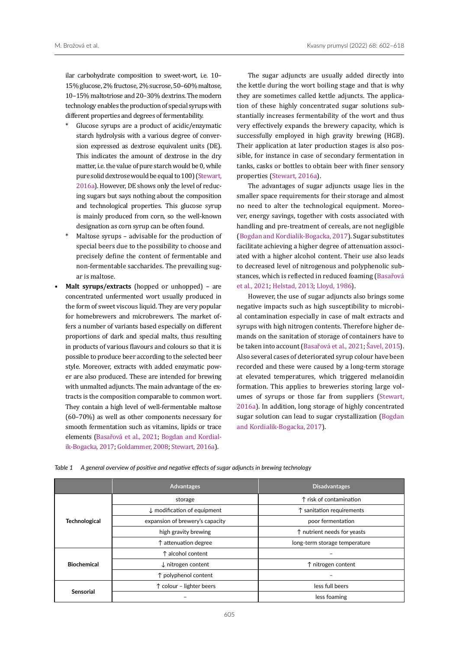ilar carbohydrate composition to sweet-wort, i.e. 10– 15% glucose, 2% fructose, 2% sucrose, 50–60% maltose, 10–15% maltotriose and 20–30% dextrins. The modern technology enables the production of special syrups with different properties and degrees of fermentability.

- Glucose syrups are a product of acidic/enzymatic starch hydrolysis with a various degree of conversion expressed as dextrose equivalent units (DE). This indicates the amount of dextrose in the dry matter, i.e. the value of pure starch would be 0, while pure solid dextrose would be equal to 100) [\(Stewart,](#page-16-0)  [2016a\)](#page-16-0). However, DE shows only the level of reducing sugars but says nothing about the composition and technological properties. This glucose syrup is mainly produced from corn, so the well-known designation as corn syrup can be often found.
- Maltose syrups advisable for the production of special beers due to the possibility to choose and precisely define the content of fermentable and non-fermentable saccharides. The prevailing sugar is maltose.
- **• Malt syrups/extracts** (hopped or unhopped) are concentrated unfermented wort usually produced in the form of sweet viscous liquid. They are very popular for homebrewers and microbrewers. The market offers a number of variants based especially on different proportions of dark and special malts, thus resulting in products of various flavours and colours so that it is possible to produce beer according to the selected beer style. Moreover, extracts with added enzymatic power are also produced. These are intended for brewing with unmalted adjuncts. The main advantage of the extracts is the composition comparable to common wort. They contain a high level of well-fermentable maltose (60–70%) as well as other components necessary for smooth fermentation such as vitamins, lipids or trace elements (Basařová et al., 2021; [Bogdan and Kordial](#page-14-0)[ik-Bogacka, 2017](#page-14-0); Goldammer, 2008; [Stewart, 2016a\)](#page-16-0).

The sugar adjuncts are usually added directly into the kettle during the wort boiling stage and that is why they are sometimes called kettle adjuncts. The application of these highly concentrated sugar solutions substantially increases fermentability of the wort and thus very effectively expands the brewery capacity, which is successfully employed in high gravity brewing (HGB). Their application at later production stages is also possible, for instance in case of secondary fermentation in tanks, casks or bottles to obtain beer with finer sensory properties [\(Stewart, 2016a](#page-16-0)).

The advantages of sugar adjuncts usage lies in the smaller space requirements for their storage and almost no need to alter the technological equipment. Moreover, energy savings, together with costs associated with handling and pre-treatment of cereals, are not negligible [\(Bogdan and Kordialik-Bogacka, 2017](#page-14-0)). Sugar substitutes facilitate achieving a higher degree of attenuation associated with a higher alcohol content. Their use also leads to decreased level of nitrogenous and polyphenolic substances, which is reflected in reduced foaming (Basařová et al., 2021; [Helstad, 2013;](#page-15-5) [Lloyd, 1986](#page-15-14)).

However, the use of sugar adjuncts also brings some negative impacts such as high susceptibility to microbial contamination especially in case of malt extracts and syrups with high nitrogen contents. Therefore higher demands on the sanitation of storage of containers have to be taken into account (Basařová et al., 2021; [Šavel, 2015](#page-16-8)). Also several cases of deteriorated syrup colour have been recorded and these were caused by a long-term storage at elevated temperatures, which triggered melanoidin formation. This applies to breweries storing large volumes of syrups or those far from suppliers ([Stewart,](#page-16-0) [2016a\)](#page-16-0). In addition, long storage of highly concentrated sugar solution can lead to sugar crystallization [\(Bogdan](#page-14-0) [and Kordialik-Bogacka, 2017\)](#page-14-0).

|                      | <b>Advantages</b>                      | <b>Disadvantages</b>          |  |
|----------------------|----------------------------------------|-------------------------------|--|
|                      | storage                                | ↑ risk of contamination       |  |
|                      | $\downarrow$ modification of equipment | ↑ sanitation requirements     |  |
| <b>Technological</b> | expansion of brewery's capacity        | poor fermentation             |  |
|                      | high gravity brewing                   | ↑ nutrient needs for yeasts   |  |
|                      | ↑ attenuation degree                   | long-term storage temperature |  |
|                      | ↑ alcohol content                      |                               |  |
| <b>Biochemical</b>   | $\downarrow$ nitrogen content          | ↑ nitrogen content            |  |
|                      | ↑ polyphenol content                   |                               |  |
|                      | ↑ colour - lighter beers               | less full beers               |  |
| <b>Sensorial</b>     |                                        | less foaming                  |  |

<span id="page-3-0"></span>*Table 1 A general overview of positive and negative effects of sugar adjuncts in brewing technology*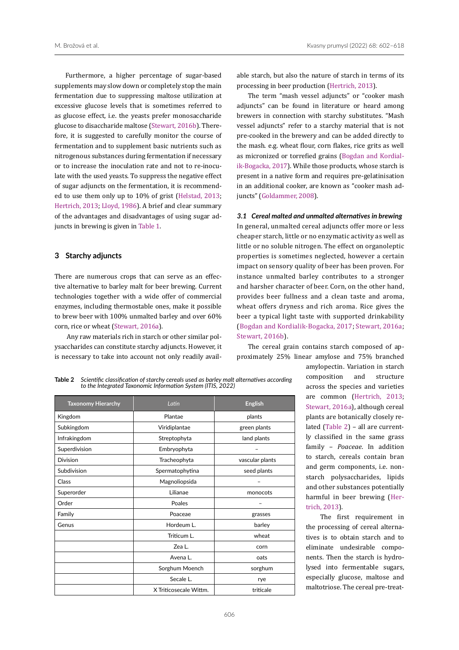Furthermore, a higher percentage of sugar-based supplements may slow down or completely stop the main fermentation due to suppressing maltose utilization at excessive glucose levels that is sometimes referred to as glucose effect, i.e. the yeasts prefer monosaccharide glucose to disaccharide maltose ([Stewart, 2016b](#page-16-7)). Therefore, it is suggested to carefully monitor the course of fermentation and to supplement basic nutrients such as nitrogenous substances during fermentation if necessary or to increase the inoculation rate and not to re-inoculate with the used yeasts. To suppress the negative effect of sugar adjuncts on the fermentation, it is recommended to use them only up to 10% of grist [\(Helstad, 2013](#page-15-5); [Hertrich, 2013](#page-15-3); [Lloyd, 1986](#page-15-14)). A brief and clear summary of the advantages and disadvantages of using sugar adjuncts in brewing is given in [Table 1.](#page-3-0)

# **3 Starchy adjuncts**

There are numerous crops that can serve as an effective alternative to barley malt for beer brewing. Current technologies together with a wide offer of commercial enzymes, including thermostable ones, make it possible to brew beer with 100% unmalted barley and over 60% corn, rice or wheat [\(Stewart, 2016a](#page-16-0)).

 Any raw materials rich in starch or other similar polysaccharides can constitute starchy adjuncts. However, it is necessary to take into account not only readily available starch, but also the nature of starch in terms of its processing in beer production ([Hertrich, 2013](#page-15-3)).

The term "mash vessel adjuncts" or "cooker mash adjuncts" can be found in literature or heard among brewers in connection with starchy substitutes. "Mash vessel adjuncts" refer to a starchy material that is not pre-cooked in the brewery and can be added directly to the mash. e.g. wheat flour, corn flakes, rice grits as well as micronized or torrefied grains ([Bogdan and Kordial](#page-14-0)[ik-Bogacka, 2017](#page-14-0)). While those products, whose starch is present in a native form and requires pre-gelatinisation in an additional cooker, are known as "cooker mash adjuncts" (Goldammer, 2008).

#### *3.1 Cereal malted and unmalted alternatives in brewing*

In general, unmalted cereal adjuncts offer more or less cheaper starch, little or no enzymatic activity as well as little or no soluble nitrogen. The effect on organoleptic properties is sometimes neglected, however a certain impact on sensory quality of beer has been proven. For instance unmalted barley contributes to a stronger and harsher character of beer. Corn, on the other hand, provides beer fullness and a clean taste and aroma, wheat offers dryness and rich aroma. Rice gives the beer a typical light taste with supported drinkability ([Bogdan and Kordialik-Bogacka, 2017;](#page-14-0) [Stewart, 2016a](#page-16-0); [Stewart, 2016b\)](#page-16-7).

The cereal grain contains starch composed of approximately 25% linear amylose and 75% branched

<span id="page-4-0"></span>**Table 2** *Scientific classification of starchy cereals used as barley malt alternatives according to the Integrated Taxonomic Information System (ITIS, 2022)*

| <b>Taxonomy Hierarchy</b> | Latin                  | <b>English</b>  |
|---------------------------|------------------------|-----------------|
| Kingdom                   | Plantae                | plants          |
| Subkingdom                | Viridiplantae          | green plants    |
| Infrakingdom              | Streptophyta           | land plants     |
| Superdivision             | Embryophyta            |                 |
| Division                  | Tracheophyta           | vascular plants |
| Subdivision               | Spermatophytina        | seed plants     |
| Class                     | Magnoliopsida          |                 |
| Superorder                | Lilianae               | monocots        |
| Order                     | Poales                 |                 |
| Family                    | Poaceae                | grasses         |
| Genus                     | Hordeum L.             | barley          |
|                           | Triticum L.            | wheat           |
|                           | Zea L.                 | corn            |
|                           | Avena L.               | oats            |
|                           | Sorghum Moench         | sorghum         |
|                           | Secale L.              | rye             |
|                           | X Triticosecale Wittm. | triticale       |

amylopectin. Variation in starch composition and structure across the species and varieties are common ([Hertrich, 2013](#page-15-3); [Stewart, 2016a](#page-16-0)), although cereal plants are botanically closely related ([Table 2](#page-4-0)) – all are currently classified in the same grass family – *Poaceae*. In addition to starch, cereals contain bran and germ components, i.e. nonstarch polysaccharides, lipids and other substances potentially harmful in beer brewing ([Her](#page-15-3)[trich, 2013\)](#page-15-3).

The first requirement in the processing of cereal alternatives is to obtain starch and to eliminate undesirable components. Then the starch is hydrolysed into fermentable sugars, especially glucose, maltose and maltotriose. The cereal pre-treat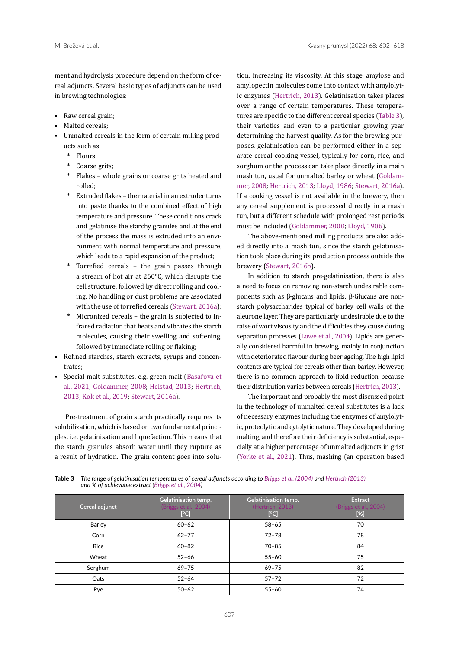ment and hydrolysis procedure depend on the form of cereal adjuncts. Several basic types of adjuncts can be used in brewing technologies:

- Raw cereal grain;
- Malted cereals;
- Unmalted cereals in the form of certain milling products such as:
	- Flours:
	- Coarse grits;
	- Flakes whole grains or coarse grits heated and rolled;
	- \* Extruded flakes the material in an extruder turns into paste thanks to the combined effect of high temperature and pressure. These conditions crack and gelatinise the starchy granules and at the end of the process the mass is extruded into an environment with normal temperature and pressure, which leads to a rapid expansion of the product;
	- \* Torrefied cereals the grain passes through a stream of hot air at 260°C, which disrupts the cell structure, followed by direct rolling and cooling. No handling or dust problems are associated with the use of torrefied cereals ([Stewart, 2016a\)](#page-16-0);
	- Micronized cereals the grain is subjected to infrared radiation that heats and vibrates the starch molecules, causing their swelling and softening, followed by immediate rolling or flaking;
- Refined starches, starch extracts, syrups and concentrates;
- Special malt substitutes, e.g. green malt (Basařová et al., 2021; Goldammer, 2008; [Helstad, 2013](#page-15-5); [Hertrich,](#page-15-3)  [2013;](#page-15-3) [Kok et al., 2019;](#page-15-7) [Stewart, 2016a](#page-16-0)).

Pre-treatment of grain starch practically requires its solubilization, which is based on two fundamental principles, i.e. gelatinisation and liquefaction. This means that the starch granules absorb water until they rupture as a result of hydration. The grain content goes into solution, increasing its viscosity. At this stage, amylose and amylopectin molecules come into contact with amylolytic enzymes ([Hertrich, 2013](#page-15-3)). Gelatinisation takes places over a range of certain temperatures. These temperatures are specific to the different cereal species ([Table](#page-5-0) 3), their varieties and even to a particular growing year determining the harvest quality. As for the brewing purposes, gelatinisation can be performed either in a separate cereal cooking vessel, typically for corn, rice, and sorghum or the process can take place directly in a main mash tun, usual for unmalted barley or wheat (Goldammer, 2008; [Hertrich, 2013;](#page-15-3) [Lloyd, 1986;](#page-15-14) [Stewart, 2016a](#page-16-0)). If a cooking vessel is not available in the brewery, then any cereal supplement is processed directly in a mash tun, but a different schedule with prolonged rest periods must be included (Goldammer, 2008; [Lloyd, 1986](#page-15-14)).

The above-mentioned milling products are also added directly into a mash tun, since the starch gelatinisation took place during its production process outside the brewery [\(Stewart, 2016b\)](#page-16-7).

In addition to starch pre-gelatinisation, there is also a need to focus on removing non-starch undesirable components such as β-glucans and lipids. β-Glucans are nonstarch polysaccharides typical of barley cell walls of the aleurone layer. They are particularly undesirable due to the raise of wort viscosity and the difficulties they cause during separation processes ([Lowe et al., 2004\)](#page-15-1). Lipids are generally considered harmful in brewing, mainly in conjunction with deteriorated flavour during beer ageing. The high lipid contents are typical for cereals other than barley. However, there is no common approach to lipid reduction because their distribution varies between cereals [\(Hertrich, 2013\)](#page-15-3).

The important and probably the most discussed point in the technology of unmalted cereal substitutes is a lack of necessary enzymes including the enzymes of amylolytic, proteolytic and cytolytic nature. They developed during malting, and therefore their deficiency is substantial, especially at a higher percentage of unmalted adjuncts in grist ([Yorke et al., 2021\)](#page-16-9). Thus, mashing (an operation based

<span id="page-5-0"></span>**Table 3** *The range of gelatinisation temperatures of cereal adjuncts according to [Briggs et al. \(2004\)](#page-14-5) and [Hertrich \(2013\)](#page-15-3) and % of achievable extract ([Briggs et al., 2004\)](#page-14-5)*

| Cereal adjunct | <b>Gelatinisation temp.</b><br>(Briggs et al., 2004)<br>[°C] | <b>Gelatinisation temp.</b><br>(Hertrich, 2013)<br>[°C] | Extract<br>(Briggs et al., 2004)<br>$[\%]$ |
|----------------|--------------------------------------------------------------|---------------------------------------------------------|--------------------------------------------|
| <b>Barley</b>  | $60 - 62$                                                    | $58 - 65$                                               | 70                                         |
| Corn           | $62 - 77$                                                    | $72 - 78$                                               | 78                                         |
| Rice           | $60 - 82$                                                    | $70 - 85$                                               | 84                                         |
| Wheat          | $52 - 66$                                                    | $55 - 60$                                               | 75                                         |
| Sorghum        | $69 - 75$                                                    | $69 - 75$                                               | 82                                         |
| Oats           | $52 - 64$                                                    | $57 - 72$                                               | 72                                         |
| Rye            | $50 - 62$                                                    | $55 - 60$                                               | 74                                         |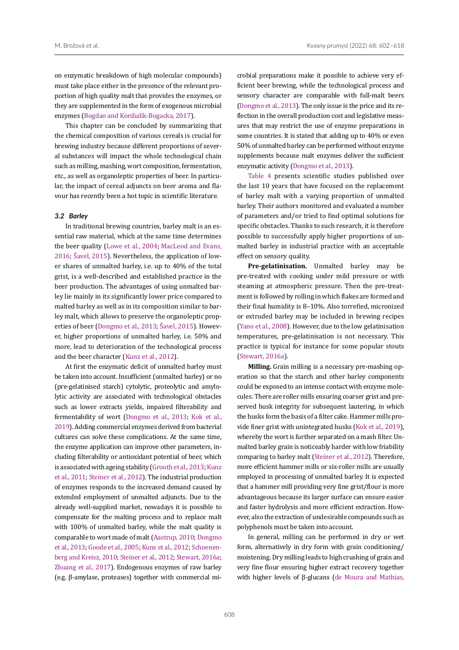on enzymatic breakdown of high molecular compounds) must take place either in the presence of the relevant proportion of high quality malt that provides the enzymes, or they are supplemented in the form of exogenous microbial enzymes [\(Bogdan and Kordialik-Bogacka, 2017\)](#page-14-0).

This chapter can be concluded by summarizing that the chemical composition of various cereals is crucial for brewing industry because different proportions of several substances will impact the whole technological chain such as milling, mashing, wort composition, fermentation, etc., as well as organoleptic properties of beer. In particular, the impact of cereal adjuncts on beer aroma and flavour has recently been a hot topic in scientific literature.

# *3.2 Barley*

In traditional brewing countries, barley malt is an essential raw material, which at the same time determines the beer quality [\(Lowe et al., 2004](#page-15-1); [MacLeod and Evans,](#page-15-2)  [2016;](#page-15-2) [Šavel, 2015](#page-16-8)). Nevertheless, the application of lower shares of unmalted barley, i.e. up to 40% of the total grist, is a well-described and established practice in the beer production. The advantages of using unmalted barley lie mainly in its significantly lower price compared to malted barley as well as in its composition similar to barley malt, which allows to preserve the organoleptic properties of beer ([Dongmo et al., 2013](#page-14-6); [Šavel, 2015](#page-16-8)). However, higher proportions of unmalted barley, i.e. 50% and more, lead to deterioration of the technological process and the beer character ([Kunz et al., 2012](#page-15-13)).

At first the enzymatic deficit of unmalted barley must be taken into account. Insufficient (unmalted barley) or no (pre-gelatinised starch) cytolytic, proteolytic and amylolytic activity are associated with technological obstacles such as lower extracts yields, impaired filterability and fermentability of wort [\(Dongmo et al., 2013;](#page-14-6) [Kok et al.,](#page-15-7)  [2019](#page-15-7)). Adding commercial enzymes derived from bacterial cultures can solve these complications. At the same time, the enzyme application can improve other parameters, including filterability or antioxidant potential of beer, which is associated with ageing stability [\(Grooth et al., 2013](#page-15-15)[; Kunz](#page-15-16)  [et al., 2011](#page-15-16); [Steiner et al., 2012\)](#page-16-10). The industrial production of enzymes responds to the increased demand caused by extended employment of unmalted adjuncts. Due to the already well-supplied market, nowadays it is possible to compensate for the malting process and to replace malt with 100% of unmalted barley, while the malt quality is comparable to wort made of malt (Aastrup, 2010; [Dongmo](#page-14-6)  [et al., 2013;](#page-14-6) [Goode et al., 2005](#page-15-17); [Kunz et al., 2012;](#page-15-13) [Schoenen](#page-16-11)[berg and Kreisz, 2010;](#page-16-11) [Steiner et al., 2012;](#page-16-10) [Stewart, 2016a](#page-16-0); [Zhuang et al., 2017\)](#page-16-12). Endogenous enzymes of raw barley (e.g. β-amylase, proteases) together with commercial microbial preparations make it possible to achieve very efficient beer brewing, while the technological process and sensory character are comparable with full-malt beers [\(Dongmo et al., 2013](#page-14-6)). The only issue is the price and its reflection in the overall production cost and legislative measures that may restrict the use of enzyme preparations in some countries. It is stated that adding up to 40% or even 50% of unmalted barley can be performed without enzyme supplements because malt enzymes deliver the sufficient enzymatic activity [\(Dongmo et al., 2013\)](#page-14-6).

[Table 4](#page-8-0) presents scientific studies published over the last 10 years that have focused on the replacement of barley malt with a varying proportion of unmalted barley. Their authors monitored and evaluated a number of parameters and/or tried to find optimal solutions for specific obstacles. Thanks to such research, it is therefore possible to successfully apply higher proportions of unmalted barley in industrial practice with an acceptable effect on sensory quality.

**Pre-gelatinisation.** Unmalted barley may be pre-treated with cooking under mild pressure or with steaming at atmospheric pressure. Then the pre-treatment is followed by rolling in which flakes are formed and their final humidity is 8–10%. Also torrefied, micronized or extruded barley may be included in brewing recipes [\(Yano et al., 2008\)](#page-16-13). However, due to the low gelatinisation temperatures, pre-gelatinisation is not necessary. This practice is typical for instance for some popular stouts [\(Stewart, 2016a](#page-16-0)).

**Milling.** Grain milling is a necessary pre-mashing operation so that the starch and other barley components could be exposed to an intense contact with enzyme molecules. There are roller mills ensuring coarser grist and preserved husk integrity for subsequent lautering, in which the husks form the basis of a filter cake. Hammer mills provide finer grist with unintegrated husks ([Kok et al., 2019](#page-15-7)), whereby the wort is further separated on a mash filter. Unmalted barley grain is noticeably harder with low friability comparing to barley malt [\(Steiner et al., 2012](#page-16-10)). Therefore, more efficient hammer mills or six-roller mills are usually employed in processing of unmalted barley. It is expected that a hammer mill providing very fine grist/flour is more advantageous because its larger surface can ensure easier and faster hydrolysis and more efficient extraction. However, also the extraction of undesirable compounds such as polyphenols must be taken into account.

In general, milling can be performed in dry or wet form, alternatively in dry form with grain conditioning/ moistening. Dry milling leads to high crushing of grain and very fine flour ensuring higher extract recovery together with higher levels of β-glucans ([de Moura and Mathias,](#page-14-7)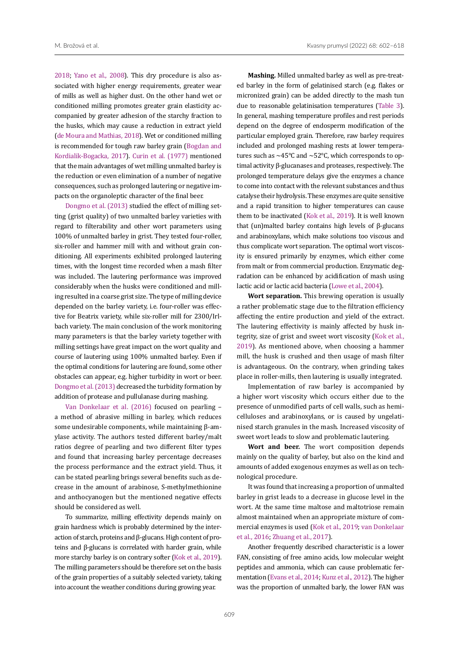[2018](#page-14-7); [Yano et al., 2008\)](#page-16-13). This dry procedure is also associated with higher energy requirements, greater wear of mills as well as higher dust. On the other hand wet or conditioned milling promotes greater grain elasticity accompanied by greater adhesion of the starchy fraction to the husks, which may cause a reduction in extract yield [\(de Moura and Mathias, 2018\)](#page-14-7). Wet or conditioned milling is recommended for tough raw barley grain [\(Bogdan and](#page-14-0)  [Kordialik-Bogacka, 2017\)](#page-14-0). [Curin et al. \(1977\)](#page-14-8) mentioned that the main advantages of wet milling unmalted barley is the reduction or even elimination of a number of negative consequences, such as prolonged lautering or negative impacts on the organoleptic character of the final beer.

[Dongmo et al. \(2013\)](#page-14-6) studied the effect of milling setting (grist quality) of two unmalted barley varieties with regard to filterability and other wort parameters using 100% of unmalted barley in grist. They tested four-roller, six-roller and hammer mill with and without grain conditioning. All experiments exhibited prolonged lautering times, with the longest time recorded when a mash filter was included. The lautering performance was improved considerably when the husks were conditioned and milling resulted in a coarse grist size. The type of milling device depended on the barley variety, i.e. four-roller was effective for Beatrix variety, while six-roller mill for 2300/Irlbach variety. The main conclusion of the work monitoring many parameters is that the barley variety together with milling settings have great impact on the wort quality and course of lautering using 100% unmalted barley. Even if the optimal conditions for lautering are found, some other obstacles can appear, e.g. higher turbidity in wort or beer. [Dongmo et al. \(2013\)](#page-14-6) decreased the turbidity formation by addition of protease and pullulanase during mashing.

[Van Donkelaar et al. \(2016\) f](#page-16-14)ocused on pearling – a method of abrasive milling in barley, which reduces some undesirable components, while maintaining β-amylase activity. The authors tested different barley/malt ratios degree of pearling and two different filter types and found that increasing barley percentage decreases the process performance and the extract yield. Thus, it can be stated pearling brings several benefits such as decrease in the amount of arabinose, S-methylmethionine and anthocyanogen but the mentioned negative effects should be considered as well.

To summarize, milling effectivity depends mainly on grain hardness which is probably determined by the interaction of starch, proteins and β-glucans. High content of proteins and β-glucans is correlated with harder grain, while more starchy barley is on contrary softer [\(Kok et al., 2019\)](#page-15-7). The milling parameters should be therefore set on the basis of the grain properties of a suitably selected variety, taking into account the weather conditions during growing year.

**Mashing.** Milled unmalted barley as well as pre-treated barley in the form of gelatinised starch (e.g. flakes or micronized grain) can be added directly to the mash tun due to reasonable gelatinisation temperatures [\(Table 3](#page-5-0)). In general, mashing temperature profiles and rest periods depend on the degree of endosperm modification of the particular employed grain. Therefore, raw barley requires included and prolonged mashing rests at lower temperatures such as  $\sim$ 45°C and  $\sim$ 52°C, which corresponds to optimal activity β-glucanases and proteases, respectively. The prolonged temperature delays give the enzymes a chance to come into contact with the relevant substances and thus catalyse their hydrolysis. These enzymes are quite sensitive and a rapid transition to higher temperatures can cause them to be inactivated ([Kok et al., 2019](#page-15-7)). It is well known that (un)malted barley contains high levels of β-glucans and arabinoxylans, which make solutions too viscous and thus complicate wort separation. The optimal wort viscosity is ensured primarily by enzymes, which either come from malt or from commercial production. Enzymatic degradation can be enhanced by acidification of mash using lactic acid or lactic acid bacteria [\(Lowe et al., 2004](#page-15-1)).

**Wort separation.** This brewing operation is usually a rather problematic stage due to the filtration efficiency affecting the entire production and yield of the extract. The lautering effectivity is mainly affected by husk integrity, size of grist and sweet wort viscosity [\(Kok et al.,](#page-15-7) [2019](#page-15-7)). As mentioned above, when choosing a hammer mill, the husk is crushed and then usage of mash filter is advantageous. On the contrary, when grinding takes place in roller-mills, then lautering is usually integrated.

Implementation of raw barley is accompanied by a higher wort viscosity which occurs either due to the presence of unmodified parts of cell walls, such as hemicelluloses and arabinoxylans, or is caused by ungelatinised starch granules in the mash. Increased viscosity of sweet wort leads to slow and problematic lautering.

**Wort and beer.** The wort composition depends mainly on the quality of barley, but also on the kind and amounts of added exogenous enzymes as well as on technological procedure.

It was found that increasing a proportion of unmalted barley in grist leads to a decrease in glucose level in the wort. At the same time maltose and maltotriose remain almost maintained when an appropriate mixture of commercial enzymes is used ([Kok et al., 2019;](#page-15-7) [van Donkelaar](#page-16-14) [et al., 2016](#page-16-14); [Zhuang et al., 2017](#page-16-12)).

Another frequently described characteristic is a lower FAN, consisting of free amino acids, low molecular weight peptides and ammonia, which can cause problematic fermentation ([Evans et al., 2014;](#page-14-9) [Kunz et al., 2012\)](#page-15-13). The higher was the proportion of unmalted barly, the lower FAN was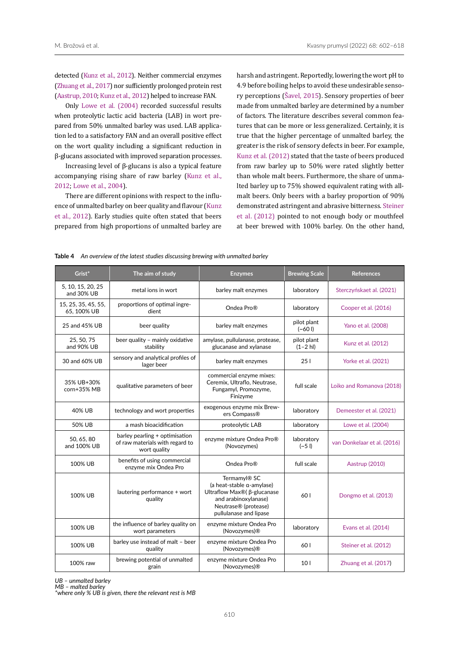detected [\(Kunz et al., 2012](#page-15-13)). Neither commercial enzymes [\(Zhuang et al., 2017](#page-16-12)) nor sufficiently prolonged protein rest (Aastrup, 2010; [Kunz et al., 2012](#page-15-13)) helped to increase FAN.

Only [Lowe et al. \(2004\)](#page-15-1) recorded successful results when proteolytic lactic acid bacteria (LAB) in wort prepared from 50% unmalted barley was used. LAB application led to a satisfactory FAN and an overall positive effect on the wort quality including a significant reduction in β-glucans associated with improved separation processes.

Increasing level of β-glucans is also a typical feature accompanying rising share of raw barley ([Kunz et al.,](#page-15-13)  [2012;](#page-15-13) [Lowe et al., 2004\)](#page-15-1).

There are different opinions with respect to the influence of unmalted barley on beer quality and flavour ([Kunz](#page-15-13)  [et al., 2012\)](#page-15-13). Early studies quite often stated that beers prepared from high proportions of unmalted barley are harsh and astringent. Reportedly, lowering the wort pH to 4.9 before boiling helps to avoid these undesirable sensory perceptions ([Šavel, 2015\)](#page-16-8). Sensory properties of beer made from unmalted barley are determined by a number of factors. The literature describes several common features that can be more or less generalized. Certainly, it is true that the higher percentage of unmalted barley, the greater is the risk of sensory defects in beer. For example, [Kunz et al. \(2012\)](#page-15-13) stated that the taste of beers produced from raw barley up to 50% were rated slightly better than whole malt beers. Furthermore, the share of unmalted barley up to 75% showed equivalent rating with allmalt beers. Only beers with a barley proportion of 90% demonstrated astringent and abrasive bitterness. [Steiner](#page-16-10) [et al. \(2012\)](#page-16-10) pointed to not enough body or mouthfeel at beer brewed with 100% barley. On the other hand,

| Grist*                             | The aim of study                                                                  | <b>Enzymes</b>                                                                                                                                                 | <b>Brewing Scale</b>       | <b>References</b>           |
|------------------------------------|-----------------------------------------------------------------------------------|----------------------------------------------------------------------------------------------------------------------------------------------------------------|----------------------------|-----------------------------|
| 5, 10, 15, 20, 25<br>and 30% UB    | metal ions in wort                                                                | barley malt enzymes                                                                                                                                            | laboratory                 | Sterczyńskaet al. (2021)    |
| 15, 25, 35, 45, 55,<br>65, 100% UB | proportions of optimal ingre-<br>dient                                            | Ondea Pro®                                                                                                                                                     | laboratory                 | Cooper et al. (2016)        |
| 25 and 45% UB                      | beer quality                                                                      | barley malt enzymes                                                                                                                                            | pilot plant<br>$(-601)$    | Yano et al. (2008)          |
| 25, 50, 75<br>and 90% UB           | beer quality - mainly oxidative<br>stability                                      | amylase, pullulanase, protease,<br>glucanase and xylanase                                                                                                      | pilot plant<br>$(1 - 2 h)$ | Kunz et al. (2012)          |
| 30 and 60% UB                      | sensory and analytical profiles of<br>lager beer                                  | barley malt enzymes                                                                                                                                            | 251                        | Yorke et al. (2021)         |
| 35% UB+30%<br>corn+35% MB          | qualitative parameters of beer                                                    | commercial enzyme mixes:<br>Ceremix, Ultraflo, Neutrase,<br>Fungamyl, Promozyme,<br>Finizyme                                                                   | full scale                 | Loiko and Romanova (2018)   |
| 40% UB                             | technology and wort properties                                                    | exogenous enzyme mix Brew-<br>ers Compass®                                                                                                                     | laboratory                 | Demeester et al. (2021)     |
| <b>50% UB</b>                      | a mash bioacidification                                                           | proteolytic LAB                                                                                                                                                | laboratory                 | Lowe et al. (2004)          |
| 50, 65, 80<br>and 100% UB          | barley pearling + optimisation<br>of raw materials with regard to<br>wort quality | enzyme mixture Ondea Pro®<br>(Novozymes)                                                                                                                       | laboratory<br>$(-51)$      | van Donkelaar et al. (2016) |
| 100% UB                            | benefits of using commercial<br>enzyme mix Ondea Pro                              | Ondea Pro <sup>®</sup>                                                                                                                                         | full scale                 | Aastrup (2010)              |
| 100% UB                            | lautering performance + wort<br>quality                                           | Termamyl <sup>®</sup> SC<br>(a heat-stable a-amylase)<br>Ultraflow Max® (β-glucanase<br>and arabinoxylanase)<br>Neutrase® (protease)<br>pullulanase and lipase | 601                        | Dongmo et al. (2013)        |
| 100% UB                            | the influence of barley quality on<br>wort parameters                             | enzyme mixture Ondea Pro<br>(Novozymes)®                                                                                                                       | laboratory                 | Evans et al. (2014)         |
| 100% UB                            | barley use instead of malt - beer<br>quality                                      | enzyme mixture Ondea Pro<br>(Novozymes) <sup>®</sup>                                                                                                           | 60 I                       | Steiner et al. (2012)       |
| 100% raw                           | brewing potential of unmalted<br>grain                                            | enzyme mixture Ondea Pro<br>(Novozymes) <sup>®</sup>                                                                                                           | 10 <sub>1</sub>            | Zhuang et al. (2017)        |

<span id="page-8-0"></span>**Table 4** *An overview of the latest studies discussing brewing with unmalted barley*

*UB – unmalted barley*

*MB – malted barley*

*\*where only % UB is given, there the relevant rest is MB*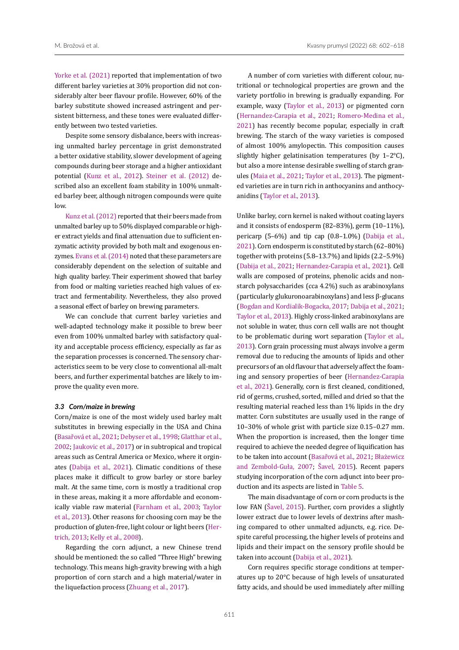[Yorke et al. \(2021\)](#page-16-9) reported that implementation of two different barley varieties at 30% proportion did not considerably alter beer flavour profile. However, 60% of the barley substitute showed increased astringent and persistent bitterness, and these tones were evaluated differently between two tested varieties.

Despite some sensory disbalance, beers with increasing unmalted barley percentage in grist demonstrated a better oxidative stability, slower development of ageing compounds during beer storage and a higher antioxidant potential ([Kunz et al., 2012](#page-15-13)). [Steiner et al. \(2012\)](#page-16-10) described also an excellent foam stability in 100% unmalted barley beer, although nitrogen compounds were quite low.

[Kunz et al. \(2012\)](#page-15-13) reported that their beers made from unmalted barley up to 50% displayed comparable or higher extract yields and final attenuation due to sufficient enzymatic activity provided by both malt and exogenous enzymes. [Evans et al. \(2014\)](#page-14-9) noted that these parameters are considerably dependent on the selection of suitable and high quality barley. Their experiment showed that barley from food or malting varieties reached high values of extract and fermentability. Nevertheless, they also proved a seasonal effect of barley on brewing parameters.

We can conclude that current barley varieties and well-adapted technology make it possible to brew beer even from 100% unmalted barley with satisfactory quality and acceptable process efficiency, especially as far as the separation processes is concerned. The sensory characteristics seem to be very close to conventional all-malt beers, and further experimental batches are likely to improve the quality even more.

#### *3.3 Corn/maize in brewing*

Corn/maize is one of the most widely used barley malt substitutes in brewing especially in the USA and China (Basařová et al., 2021; [Debyser et al., 1998;](#page-14-12) [Glatthar et al.,](#page-15-19)  [2002;](#page-15-19) [Jaukovic et al., 2017](#page-15-20)) or in subtropical and tropical areas such as Central America or Mexico, where it orginates ([Dabija et al., 2021](#page-14-1)). Climatic conditions of these places make it difficult to grow barley or store barley malt. At the same time, corn is mostly a traditional crop in these areas, making it a more affordable and economically viable raw material ([Farnham et al., 2003](#page-14-13); [Taylor](#page-16-3)  [et al., 2013\)](#page-16-3). Other reasons for choosing corn may be the production of gluten-free, light colour or light beers [\(Her](#page-15-3)[trich, 2013;](#page-15-3) [Kelly et al., 2008](#page-15-21)).

Regarding the corn adjunct, a new Chinese trend should be mentioned: the so called "Three High" brewing technology. This means high-gravity brewing with a high proportion of corn starch and a high material/water in the liquefaction process ([Zhuang et al., 2017](#page-16-12)).

A number of corn varieties with different colour, nutritional or technological properties are grown and the variety portfolio in brewing is gradually expanding. For example, waxy ([Taylor et al., 2013\)](#page-16-3) or pigmented corn ([Hernandez-Carapia et al., 2021;](#page-15-22) [Romero-Medina et al.,](#page-16-16) [2021](#page-16-16)) has recently become popular, especially in craft brewing. The starch of the waxy varieties is composed of almost 100% amylopectin. This composition causes slightly higher gelatinisation temperatures (by 1–2°C), but also a more intense desirable swelling of starch granules ([Maia et al., 2021;](#page-15-23) [Taylor et al., 2013](#page-16-3)). The pigmented varieties are in turn rich in anthocyanins and anthocyanidins [\(Taylor et al., 2013](#page-16-3)).

Unlike barley, corn kernel is naked without coating layers and it consists of endosperm (82–83%), germ (10–11%), pericarp (5–6%) and tip cap (0.8–1.0%) ([Dabija et al.,](#page-14-1) [2021](#page-14-1)). Corn endosperm is constituted by starch (62–80%) together with proteins (5.8–13.7%) and lipids (2.2–5.9%) ([Dabija et al., 2021;](#page-14-1) [Hernandez-Carapia et al., 2021\)](#page-15-22). Cell walls are composed of proteins, phenolic acids and nonstarch polysaccharides (cca 4.2%) such as arabinoxylans (particularly glukuronoarabinoxylans) and less β-glucans ([Bogdan and Kordialik-Bogacka, 2017;](#page-14-0) [Dabija et al., 2021](#page-14-1); [Taylor et al., 2013\)](#page-16-3). Highly cross-linked arabinoxylans are not soluble in water, thus corn cell walls are not thought to be problematic during wort separation ([Taylor et al.,](#page-16-3) [2013](#page-16-3)). Corn grain processing must always involve a germ removal due to reducing the amounts of lipids and other precursors of an old flavour that adversely affect the foaming and sensory properties of beer ([Hernandez-Carapia](#page-15-22) [et al., 2021](#page-15-22)). Generally, corn is first cleaned, conditioned, rid of germs, crushed, sorted, milled and dried so that the resulting material reached less than 1% lipids in the dry matter. Corn substitutes are usually used in the range of 10–30% of whole grist with particle size 0.15–0.27 mm. When the proportion is increased, then the longer time required to achieve the needed degree of liquification has to be taken into account (Basařová et al., 2021; Błażewicz and Zembold-Guła, 2007; [Šavel, 2015](#page-16-8)). Recent papers studying incorporation of the corn adjunct into beer production and its aspects are listed in [Table 5.](#page-11-0)

The main disadvantage of corn or corn products is the low FAN ([Šavel, 2015](#page-16-8)). Further, corn provides a slightly lower extract due to lower levels of dextrins after mashing compared to other unmalted adjuncts, e.g. rice. Despite careful processing, the higher levels of proteins and lipids and their impact on the sensory profile should be taken into account ([Dabija et al., 2021](#page-14-1)).

Corn requires specific storage conditions at temperatures up to 20°C because of high levels of unsaturated fatty acids, and should be used immediately after milling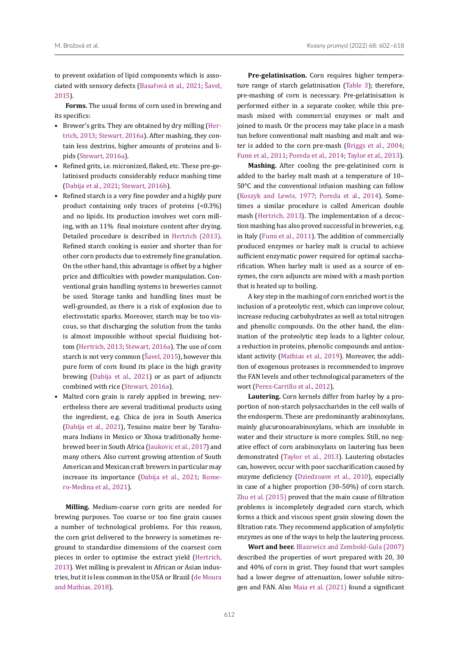to prevent oxidation of lipid components which is associated with sensory defects (Basařová et al., 2021; [Šavel,](#page-16-8)  [2015\)](#page-16-8).

**Forms.** The usual forms of corn used in brewing and its specifics:

- Brewer's grits. They are obtained by dry milling [\(Her](#page-15-3)[trich, 2013;](#page-15-3) [Stewart, 2016a\)](#page-16-0). After mashing, they contain less dextrins, higher amounts of proteins and lipids ([Stewart, 2016a\)](#page-16-0).
- Refined grits, i.e. micronized, flaked, etc. These pre-gelatinised products considerably reduce mashing time [\(Dabija et al., 2021;](#page-14-1) [Stewart, 2016b\)](#page-16-7).
- Refined starch is a very fine powder and a highly pure product containing only traces of proteins (<0.3%) and no lipids. Its production involves wet corn milling, with an 11% final moisture content after drying. Detailed procedure is described in [Hertrich \(2013\).](#page-15-3) Refined starch cooking is easier and shorter than for other corn products due to extremely fine granulation. On the other hand, this advantage is offset by a higher price and difficulties with powder manipulation. Conventional grain handling systems in breweries cannot be used. Storage tanks and handling lines must be well-grounded, as there is a risk of explosion due to electrostatic sparks. Moreover, starch may be too viscous, so that discharging the solution from the tanks is almost impossible without special fluidising bottom ([Hertrich, 2013;](#page-15-3) [Stewart, 2016a](#page-16-0)). The use of corn starch is not very common ([Šavel, 2015](#page-16-8)), however this pure form of corn found its place in the high gravity brewing ([Dabija et al., 2021\)](#page-14-1) or as part of adjuncts combined with rice [\(Stewart, 2016a](#page-16-0)).
- Malted corn grain is rarely applied in brewing, nevertheless there are several traditional products using the ingredient, e.g. Chica de jora in South America [\(Dabija et al., 2021](#page-14-1)), Tesuino maize beer by Tarahumara Indians in Mexico or Xhosa traditionally homebrewed beer in South Africa ([Jaukovic et al., 2017](#page-15-20)) and many others. Also current growing attention of South American and Mexican craft brewers in particular may increase its importance ([Dabija et al., 2021](#page-14-1); [Rome](#page-16-16)[ro-Medina et al., 2021\)](#page-16-16).

**Milling.** Medium-coarse corn grits are needed for brewing purposes. Too coarse or too fine grain causes a number of technological problems. For this reason, the corn grist delivered to the brewery is sometimes reground to standardise dimensions of the coarsest corn pieces in order to optimise the extract yield [\(Hertrich,](#page-15-3)  [2013\)](#page-15-3). Wet milling is prevalent in African or Asian industries, but it is less common in the USA or Brazil ([de Moura](#page-14-7)  [and Mathias, 2018\)](#page-14-7).

**Pre-gelatinisation.** Corn requires higher temperature range of starch gelatinisation ([Table 3\)](#page-5-0); therefore, pre-mashing of corn is necessary. Pre-gelatinisation is performed either in a separate cooker, while this premash mixed with commercial enzymes or malt and joined to mash. Or the process may take place in a mash tun before conventional malt mashing and malt and water is added to the corn pre-mash ([Briggs et al., 2004](#page-14-5); [Fumi et al., 2011](#page-14-14); [Poreda et al., 2014](#page-16-2); [Taylor et al., 2013\)](#page-16-3).

**Mashing.** After cooling the pre-gelatinised corn is added to the barley malt mash at a temperature of 10– 50°C and the conventional infusion mashing can follow (Koszyk and Lewis, 1977; [Poreda et al., 2014](#page-16-2)). Sometimes a similar procedure is called American double mash ([Hertrich, 2013\)](#page-15-3). The implementation of a decoction mashing has also proved successful in breweries, e.g. in Italy [\(Fumi et al., 2011](#page-14-14)). The addition of commercially produced enzymes or barley malt is crucial to achieve sufficient enzymatic power required for optimal saccharification. When barley malt is used as a source of enzymes, the corn adjuncts are mixed with a mash portion that is heated up to boiling.

A key step in the mashing of corn enriched wort is the inclusion of a proteolytic rest, which can improve colour, increase reducing carbohydrates as well as total nitrogen and phenolic compounds. On the other hand, the elimination of the proteolytic step leads to a lighter colour, a reduction in proteins, phenolic compounds and antioxidant activity ([Mathias et al., 2019\)](#page-15-24). Moreover, the addition of exogenous proteases is recommended to improve the FAN levels and other technological parameters of the wort [\(Perez-Carrillo et al., 2012\)](#page-15-25).

**Lautering.** Corn kernels differ from barley by a proportion of non-starch polysaccharides in the cell walls of the endosperm. These are predominantly arabinoxylans, mainly glucuronoarabinoxylans, which are insoluble in water and their structure is more complex. Still, no negative effect of corn arabinoxylans on lautering has been demonstrated [\(Taylor et al., 2013\)](#page-16-3). Lautering obstacles can, however, occur with poor saccharification caused by enzyme deficiency ([Dziedzoave et al., 2010](#page-14-15)), especially in case of a higher proportion (30–50%) of corn starch. [Zhu et al. \(2015\)](#page-16-17) proved that the main cause of filtration problems is incompletely degraded corn starch, which forms a thick and viscous spent grain slowing down the filtration rate. They recommend application of amylolytic enzymes as one of the ways to help the lautering process.

**Wort and beer.** Blazewicz and Zembold-Gula (2007) described the properties of wort prepared with 20, 30 and 40% of corn in grist. They found that wort samples had a lower degree of attenuation, lower soluble nitrogen and FAN. Also [Maia et al. \(2021\)](#page-15-23) found a significant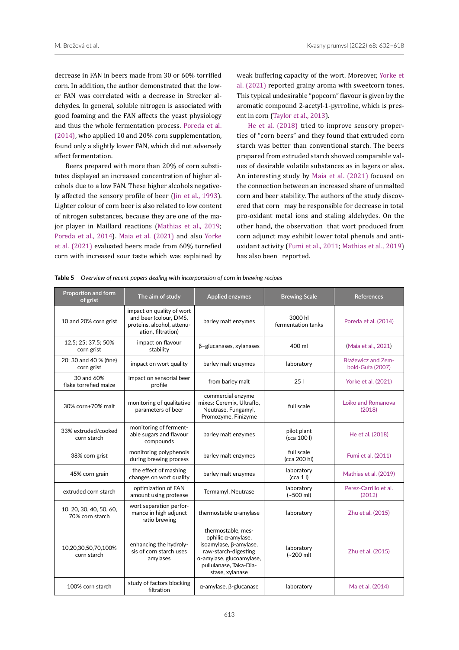decrease in FAN in beers made from 30 or 60% torrified corn. In addition, the author demonstrated that the lower FAN was correlated with a decrease in Strecker aldehydes. In general, soluble nitrogen is associated with good foaming and the FAN affects the yeast physiology and thus the whole fermentation process. [Poreda et al.](#page-16-2)  [\(2014\),](#page-16-2) who applied 10 and 20% corn supplementation, found only a slightly lower FAN, which did not adversely affect fermentation.

Beers prepared with more than 20% of corn substitutes displayed an increased concentration of higher alcohols due to a low FAN. These higher alcohols negatively affected the sensory profile of beer ([Jin et al., 1993](#page-15-26)). Lighter colour of corn beer is also related to low content of nitrogen substances, because they are one of the major player in Maillard reactions ([Mathias et al., 2019](#page-15-24); [Poreda et al., 2014\)](#page-16-2). [Maia et al. \(2021\)](#page-15-23) and also [Yorke](#page-16-9)  [et al. \(2021\)](#page-16-9) evaluated beers made from 60% torrefied corn with increased sour taste which was explained by

weak buffering capacity of the wort. Moreover, [Yorke et](#page-16-9) [al. \(2021\)](#page-16-9) reported grainy aroma with sweetcorn tones. This typical undesirable "popcorn" flavour is given by the aromatic compound 2-acetyl-1-pyrroline, which is present in corn [\(Taylor et al., 2013](#page-16-3)).

[He et al. \(2018\)](#page-15-27) tried to improve sensory properties of "corn beers" and they found that extruded corn starch was better than conventional starch. The beers prepared from extruded starch showed comparable values of desirable volatile substances as in lagers or ales. An interesting study by [Maia et al. \(2021\)](#page-15-23) focused on the connection between an increased share of unmalted corn and beer stability. The authors of the study discovered that corn may be responsible for decrease in total pro-oxidant metal ions and staling aldehydes. On the other hand, the observation that wort produced from corn adjunct may exhibit lower total phenols and antioxidant activity [\(Fumi et al., 2011;](#page-14-14) [Mathias et al., 2019\)](#page-15-24) has also been reported.

<span id="page-11-0"></span>

| Table 5 Overview of recent papers dealing with incorporation of corn in brewing recipes |  |  |  |
|-----------------------------------------------------------------------------------------|--|--|--|
|                                                                                         |  |  |  |

| Proportion and form<br>of grist            | The aim of study                                                                                        | <b>Applied enzymes</b>                                                                                                                                              | <b>Brewing Scale</b>          | <b>References</b>                             |  |
|--------------------------------------------|---------------------------------------------------------------------------------------------------------|---------------------------------------------------------------------------------------------------------------------------------------------------------------------|-------------------------------|-----------------------------------------------|--|
| 10 and 20% corn grist                      | impact on quality of wort<br>and beer (colour, DMS,<br>proteins, alcohol, attenu-<br>ation, filtration) | barley malt enzymes                                                                                                                                                 | 3000 hl<br>fermentation tanks | Poreda et al. (2014)                          |  |
| 12.5; 25; 37.5; 50%<br>corn grist          | impact on flavour<br>stability                                                                          | β-glucanases, xylanases                                                                                                                                             | 400 ml                        | (Maia et al., 2021)                           |  |
| 20; 30 and 40 % (fine)<br>corn grist       | impact on wort quality                                                                                  | barley malt enzymes                                                                                                                                                 | laboratory                    | <b>Błażewicz and Zem-</b><br>bold-Guła (2007) |  |
| 30 and 60%<br>flake torrefied maize        | impact on sensorial beer<br>profile                                                                     | from barley malt                                                                                                                                                    | 251                           | Yorke et al. (2021)                           |  |
| 30% corn+70% malt                          | monitoring of qualitative<br>parameters of beer                                                         | commercial enzyme<br>mixes: Ceremix, Ultraflo,<br>Neutrase, Fungamyl,<br>Promozyme, Finizyme                                                                        | full scale                    | Loiko and Romanova<br>(2018)                  |  |
| 33% extruded/cooked<br>corn starch         | monitoring of ferment-<br>able sugars and flavour<br>compounds                                          | barley malt enzymes                                                                                                                                                 | pilot plant<br>(cca 100 l)    | He et al. (2018)                              |  |
| 38% corn grist                             | monitoring polyphenols<br>during brewing process                                                        | barley malt enzymes                                                                                                                                                 | full scale<br>(cca 200 hl)    | Fumi et al. (2011)                            |  |
| 45% corn grain                             | the effect of mashing<br>changes on wort quality                                                        | barley malt enzymes                                                                                                                                                 | laboratory<br>(cca 1)         | Mathias et al. (2019)                         |  |
| extruded corn starch                       | optimization of FAN<br>amount using protease                                                            | Termamyl, Neutrase                                                                                                                                                  | laboratory<br>$(-500$ ml)     | Perez-Carrillo et al.<br>(2012)               |  |
| 10, 20, 30, 40, 50, 60,<br>70% corn starch | wort separation perfor-<br>mance in high adjunct<br>ratio brewing                                       | thermostable α-amylase                                                                                                                                              | laboratory                    | Zhu et al. (2015)                             |  |
| 10,20,30,50,70,100%<br>corn starch         | enhancing the hydroly-<br>sis of corn starch uses<br>amylases                                           | thermostable, mes-<br>ophilic a-amylase,<br>isoamylase, β-amylase,<br>raw-starch-digesting<br>α-amylase, glucoamylase,<br>pullulanase, Taka-Dia-<br>stase, xylanase | laboratory<br>$(-200$ ml)     | Zhu et al. (2015)                             |  |
| 100% corn starch                           | study of factors blocking<br>filtration                                                                 | α-amylase, β-glucanase                                                                                                                                              | laboratory                    | Ma et al. (2014)                              |  |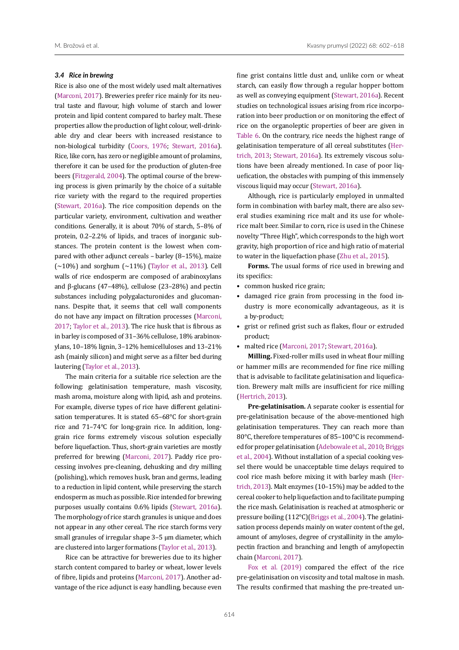#### *3.4 Rice in brewing*

Rice is also one of the most widely used malt alternatives [\(Marconi, 2017\)](#page-15-29). Breweries prefer rice mainly for its neutral taste and flavour, high volume of starch and lower protein and lipid content compared to barley malt. These properties allow the production of light colour, well-drinkable dry and clear beers with increased resistance to non-biological turbidity ([Coors, 1976;](#page-14-16) [Stewart, 2016a\)](#page-16-0). Rice, like corn, has zero or negligible amount of prolamins, therefore it can be used for the production of gluten-free beers [\(Fitzgerald, 2004\)](#page-14-17). The optimal course of the brewing process is given primarily by the choice of a suitable rice variety with the regard to the required properties [\(Stewart, 2016a\)](#page-16-0). The rice composition depends on the particular variety, environment, cultivation and weather conditions. Generally, it is about 70% of starch, 5–8% of protein, 0.2–2.2% of lipids, and traces of inorganic substances. The protein content is the lowest when compared with other adjunct cereals – barley (8–15%), maize  $(\sim 10\%)$  and sorghum  $(\sim 11\%)$  ([Taylor et al., 2013](#page-16-3)). Cell walls of rice endosperm are composed of arabinoxylans and β-glucans (47–48%), cellulose (23–28%) and pectin substances including polygalacturonides and glucomannans. Despite that, it seems that cell wall components do not have any impact on filtration processes ([Marconi,](#page-15-29)  [2017](#page-15-29); [Taylor et al., 2013](#page-16-3)). The rice husk that is fibrous as in barley is composed of 31–36% cellulose, 18% arabinoxylans, 10–18% lignin, 3–12% hemicelluloses and 13–21% ash (mainly silicon) and might serve as a filter bed during lautering [\(Taylor et al., 2013\)](#page-16-3).

The main criteria for a suitable rice selection are the following: gelatinisation temperature, mash viscosity, mash aroma, moisture along with lipid, ash and proteins. For example, diverse types of rice have different gelatinisation temperatures. It is stated 65–68°C for short-grain rice and 71–74°C for long-grain rice. In addition, longgrain rice forms extremely viscous solution especially before liquefaction. Thus, short-grain varieties are mostly preferred for brewing ([Marconi, 2017\)](#page-15-29). Paddy rice processing involves pre-cleaning, dehusking and dry milling (polishing), which removes husk, bran and germs, leading to a reduction in lipid content, while preserving the starch endosperm as much as possible. Rice intended for brewing purposes usually contains 0.6% lipids [\(Stewart, 2016a\)](#page-16-0). The morphology of rice starch granules is unique and does not appear in any other cereal. The rice starch forms very small granules of irregular shape 3–5 μm diameter, which are clustered into larger formations [\(Taylor et al., 2013\)](#page-16-3).

Rice can be attractive for breweries due to its higher starch content compared to barley or wheat, lower levels of fibre, lipids and proteins ([Marconi, 2017\)](#page-15-29). Another advantage of the rice adjunct is easy handling, because even

fine grist contains little dust and, unlike corn or wheat starch, can easily flow through a regular hopper bottom as well as conveying equipment [\(Stewart, 2016a](#page-16-0)). Recent studies on technological issues arising from rice incorporation into beer production or on monitoring the effect of rice on the organoleptic properties of beer are given in [Table 6.](#page-13-0) On the contrary, rice needs the highest range of gelatinisation temperature of all cereal substitutes [\(Her](#page-15-3)[trich, 2013;](#page-15-3) [Stewart, 2016a](#page-16-0)). Its extremely viscous solutions have been already mentioned. In case of poor liquefication, the obstacles with pumping of this immensely viscous liquid may occur [\(Stewart, 2016a\)](#page-16-0).

Although, rice is particularly employed in unmalted form in combination with barley malt, there are also several studies examining rice malt and its use for wholerice malt beer. Similar to corn, rice is used in the Chinese novelty "Three High", which corresponds to the high wort gravity, high proportion of rice and high ratio of material to water in the liquefaction phase [\(Zhu et al., 2015\)](#page-16-17).

**Forms.** The usual forms of rice used in brewing and its specifics:

- common husked rice grain;
- damaged rice grain from processing in the food industry is more economically advantageous, as it is a by-product;
- grist or refined grist such as flakes, flour or extruded product;
- malted rice [\(Marconi, 2017;](#page-15-29) [Stewart, 2016a\)](#page-16-0).

**Milling.** Fixed-roller mills used in wheat flour milling or hammer mills are recommended for fine rice milling that is advisable to facilitate gelatinisation and liquefication. Brewery malt mills are insufficient for rice milling ([Hertrich, 2013](#page-15-3)).

**Pre-gelatinisation.** A separate cooker is essential for pre-gelatinisation because of the above-mentioned high gelatinisation temperatures. They can reach more than 80°C, therefore temperatures of 85–100°C is recommended for proper gelatinisation ([Adebowale et al., 2010;](#page-14-18) [Briggs](#page-14-5) [et al., 2004\)](#page-14-5). Without installation of a special cooking vessel there would be unacceptable time delays required to cool rice mash before mixing it with barley mash [\(Her](#page-15-3)[trich, 2013](#page-15-3)). Malt enzymes (10–15%) may be added to the cereal cooker to help liquefaction and to facilitate pumping the rice mash. Gelatinisation is reached at atmospheric or pressure boiling (112°C)[\(Briggs et al., 2004](#page-14-5)). The gelatinisation process depends mainly on water content of the gel, amount of amyloses, degree of crystallinity in the amylopectin fraction and branching and length of amylopectin chain [\(Marconi, 2017](#page-15-29)).

[Fox et al. \(2019\)](#page-14-19) compared the effect of the rice pre-gelatinisation on viscosity and total maltose in mash. The results confirmed that mashing the pre-treated un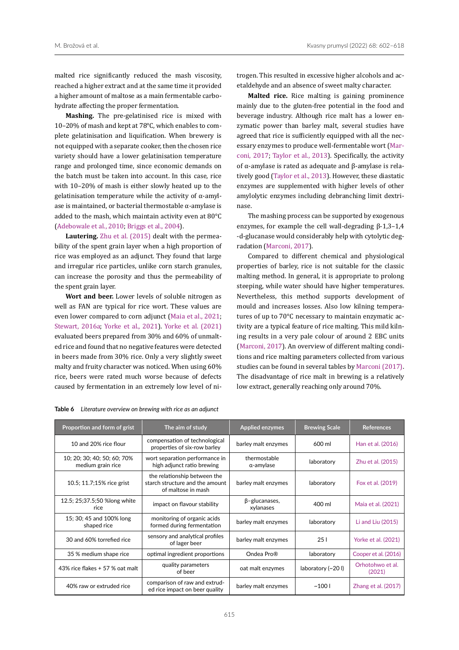malted rice significantly reduced the mash viscosity, reached a higher extract and at the same time it provided a higher amount of maltose as a main fermentable carbohydrate affecting the proper fermentation.

**Mashing.** The pre-gelatinised rice is mixed with 10–20% of mash and kept at 78°C, which enables to complete gelatinisation and liquification. When brewery is not equipped with a separate cooker, then the chosen rice variety should have a lower gelatinisation temperature range and prolonged time, since economic demands on the batch must be taken into account. In this case, rice with 10–20% of mash is either slowly heated up to the gelatinisation temperature while the activity of  $\alpha$ -amylase is maintained, or bacterial thermostable  $\alpha$ -amylase is added to the mash, which maintain activity even at 80°C [\(Adebowale et al., 2010;](#page-14-18) [Briggs et al., 2004](#page-14-5)).

**Lautering.** [Zhu et al. \(2015\)](#page-16-17) dealt with the permeability of the spent grain layer when a high proportion of rice was employed as an adjunct. They found that large and irregular rice particles, unlike corn starch granules, can increase the porosity and thus the permeability of the spent grain layer.

**Wort and beer.** Lower levels of soluble nitrogen as well as FAN are typical for rice wort. These values are even lower compared to corn adjunct ([Maia et al., 2021](#page-15-23); [Stewart, 2016a](#page-16-0); [Yorke et al., 2021\)](#page-16-9). [Yorke et al. \(2021\)](#page-16-9) evaluated beers prepared from 30% and 60% of unmalted rice and found that no negative features were detected in beers made from 30% rice. Only a very slightly sweet malty and fruity character was noticed. When using 60% rice, beers were rated much worse because of defects caused by fermentation in an extremely low level of nitrogen. This resulted in excessive higher alcohols and acetaldehyde and an absence of sweet malty character.

**Malted rice.** Rice malting is gaining prominence mainly due to the gluten-free potential in the food and beverage industry. Although rice malt has a lower enzymatic power than barley malt, several studies have agreed that rice is sufficiently equipped with all the necessary enzymes to produce well-fermentable wort ([Mar](#page-15-29)[coni, 2017;](#page-15-29) [Taylor et al., 2013](#page-16-3)). Specifically, the activity of α-amylase is rated as adequate and β-amylase is relatively good [\(Taylor et al., 2013\)](#page-16-3). However, these diastatic enzymes are supplemented with higher levels of other amylolytic enzymes including debranching limit dextrinase.

The mashing process can be supported by exogenous enzymes, for example the cell wall-degrading β-1,3–1,4 -d-glucanase would considerably help with cytolytic degradation ([Marconi, 2017](#page-15-29)).

Compared to different chemical and physiological properties of barley, rice is not suitable for the classic malting method. In general, it is appropriate to prolong steeping, while water should have higher temperatures. Nevertheless, this method supports development of mould and increases losses. Also low kilning temperatures of up to 70°C necessary to maintain enzymatic activity are a typical feature of rice malting. This mild kilning results in a very pale colour of around 2 EBC units [\(Marconi, 2017](#page-15-29)). An overview of different malting conditions and rice malting parameters collected from various studies can be found in several tables by [Marconi \(2017\).](#page-15-29) The disadvantage of rice malt in brewing is a relatively low extract, generally reaching only around 70%.

| Proportion and form of grist                     | <b>Applied enzymes</b><br>The aim of study                                            |                                   | <b>Brewing Scale</b> | <b>References</b>          |
|--------------------------------------------------|---------------------------------------------------------------------------------------|-----------------------------------|----------------------|----------------------------|
| 10 and 20% rice flour                            | compensation of technological<br>properties of six-row barley                         | barley malt enzymes               | 600 ml               | Han et al. (2016)          |
| 10; 20; 30; 40; 50; 60; 70%<br>medium grain rice | wort separation performance in<br>high adjunct ratio brewing                          | thermostable<br>α-amylase         | laboratory           | Zhu et al. (2015)          |
| 10.5; 11.7;15% rice grist                        | the relationship between the<br>starch structure and the amount<br>of maltose in mash | barley malt enzymes               | laboratory           | Fox et al. (2019)          |
| 12.5; 25;37.5;50 %long white<br>rice             | impact on flavour stability                                                           | $\beta$ -glucanases,<br>xylanases | 400 ml               | Maia et al. (2021)         |
| 15; 30; 45 and 100% long<br>shaped rice          | monitoring of organic acids<br>formed during fermentation                             | barley malt enzymes               | laboratory           | Li and Liu (2015)          |
| 30 and 60% torrefied rice                        | sensory and analytical profiles<br>of lager beer                                      | barley malt enzymes               | 251                  | Yorke et al. (2021)        |
| 35 % medium shape rice                           | optimal ingredient proportions                                                        | Ondea Pro <sup>®</sup>            | laboratory           | Cooper et al. (2016)       |
| 43% rice flakes $+57$ % oat malt                 | quality parameters<br>of beer                                                         | oat malt enzymes                  | laboratory (~20)     | Orhotohwo et al.<br>(2021) |
| 40% raw or extruded rice                         | comparison of raw and extrud-<br>ed rice impact on beer quality                       | barley malt enzymes               | ~1001                | Zhang et al. (2017)        |

<span id="page-13-0"></span>**Table 6** *Literature overview on brewing with rice as an adjunct*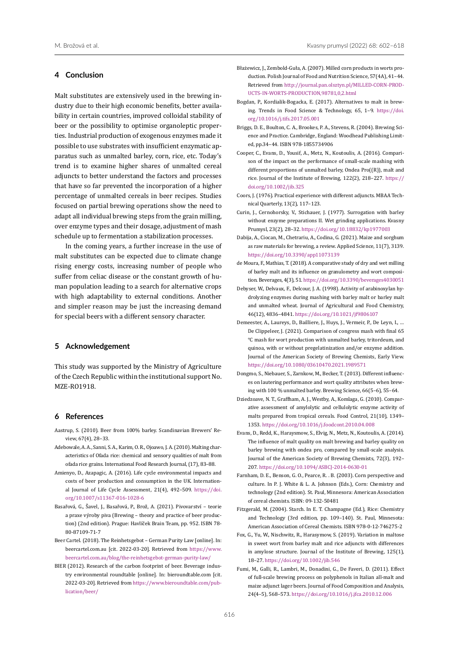# **4 Conclusion**

Malt substitutes are extensively used in the brewing industry due to their high economic benefits, better availability in certain countries, improved colloidal stability of beer or the possibility to optimise organoleptic properties. Industrial production of exogenous enzymes made it possible to use substrates with insufficient enzymatic apparatus such as unmalted barley, corn, rice, etc. Today's trend is to examine higher shares of unmalted cereal adjuncts to better understand the factors and processes that have so far prevented the incorporation of a higher percentage of unmalted cereals in beer recipes. Studies focused on partial brewing operations show the need to adapt all individual brewing steps from the grain milling, over enzyme types and their dosage, adjustment of mash schedule up to fermentation a stabilization processes.

In the coming years, a further increase in the use of malt substitutes can be expected due to climate change rising energy costs, increasing number of people who suffer from celiac disease or the constant growth of human population leading to a search for alternative crops with high adaptability to external conditions. Another and simpler reason may be just the increasing demand for special beers with a different sensory character.

## **5 Acknowledgement**

This study was supported by the Ministry of Agriculture of the Czech Republic within the institutional support No. MZE-RO1918.

# **6 References**

- Aastrup, S. (2010). Beer from 100% barley. Scandinavian Brewers' Review, 67(4), 28–33.
- <span id="page-14-18"></span>Adebowale, A. A., Sanni, S. A., Karim, O. R., Ojoawo, J. A. (2010). Malting characteristics of Ofada rice: chemical and sensory qualities of malt from ofada rice grains. International Food Research Journal, (17), 83–88.
- <span id="page-14-3"></span>Amienyo, D., Azapagic, A. (2016). Life cycle environmental impacts and costs of beer production and consumption in the UK. International Journal of Life Cycle Assessment, 21(4), 492–509. [https://doi.](https://doi.org/10.1007/s11367-016-1028-6) [org/10.1007/s11367-016-1028-6](https://doi.org/10.1007/s11367-016-1028-6)
- Basařová, G., Šavel, J., Basařová, P., Brož, A. (2021). Pivovarství teorie a praxe výroby piva (Brewing – theory and practice of beer production) (2nd edition). Prague: Havlíček Brain Team, pp. 952. ISBN 78- 80-87109-71-7
- <span id="page-14-2"></span>Beer Cartel. (2018). The Reinhetsgebot – German Purity Law [online]. In: beercartel.com.au [cit. 2022-03-20]. Retrieved from [https://www.](https://www.beercartel.com.au/blog/the-reinhetsgebot-german-purity-law/) [beercartel.com.au/blog/the-reinhetsgebot-german-purity-law/](https://www.beercartel.com.au/blog/the-reinhetsgebot-german-purity-law/)
- <span id="page-14-4"></span>BIER (2012). Research of the carbon footprint of beer. Beverage industry environmental roundtable [online]. In: bieroundtable.com [cit. 2022-03-20]. Retrieved from [https://www.bieroundtable.com/pub](https://www.bieroundtable.com/publication/beer/)[lication/beer/](https://www.bieroundtable.com/publication/beer/)
- Błażewicz, J., Zembold-Guła, A. (2007). Milled corn products in worts production. Polish Journal of Food and Nutrition Science, 57(4A), 41–44. Retrieved from [http://journal.pan.olsztyn.pl/MILLED-CORN-PROD-](http://journal.pan.olsztyn.pl/MILLED-CORN-PRODUCTS-IN-WORTS-PRODUCTION,98781,0,2.html)[UCTS-IN-WORTS-PRODUCTION,98781,0,2.html](http://journal.pan.olsztyn.pl/MILLED-CORN-PRODUCTS-IN-WORTS-PRODUCTION,98781,0,2.html)
- <span id="page-14-0"></span>Bogdan, P., Kordialik-Bogacka, E. (2017). Alternatives to malt in brewing. Trends in Food Science & Technology, 65, 1–9. [https://doi.](https://doi.org/10.1016/j.tifs.2017.05.001) [org/10.1016/j.tifs.2017.05.001](https://doi.org/10.1016/j.tifs.2017.05.001)
- <span id="page-14-5"></span>Briggs, D. E., Boulton, C. A., Brookes, P. A., Stevens, R. (2004). Brewing Science and Practice. Cambridge, England: Woodhead Publishing Limited, pp.34–44. ISBN 978-1855734906
- <span id="page-14-10"></span>Cooper, C., Evans, D., Yousif, A., Metz, N., Koutoulis, A. (2016). Comparison of the impact on the performance of small-scale mashing with different proportions of unmalted barley, Ondea Pro((R)), malt and rice. Journal of the Institute of Brewing, 122(2), 218–227. [https://](https://doi.org/10.1002/jib.325) [doi.org/10.1002/jib.325](https://doi.org/10.1002/jib.325)
- <span id="page-14-16"></span>Coors, J. (1976). Practical experience with different adjuncts. MBAA Technical Quarterly, 13(2), 117–123.
- <span id="page-14-8"></span>Curin, J., Cernohorsky, V., Stichauer, J. (1977). Surrogation with barley without enzyme preparations II. Wet grinding applications. Kvasny Prumysl, 23(2), 28–32.<https://doi.org/10.18832/kp1977003>
- <span id="page-14-1"></span>Dabija, A., Ciocan, M., Chetrariu, A., Codina, G. (2021). Maize and sorghum as raw materials for brewing, a review. Applied Science, 11(7), 3139. <https://doi.org/10.3390/app11073139>
- <span id="page-14-7"></span>de Moura, F., Mathias, T. (2018). A comparative study of dry and wet milling of barley malt and its influence on granulometry and wort composition. Beverages, 4(3), 51.<https://doi.org/10.3390/beverages4030051>
- <span id="page-14-12"></span>Debyser, W., Delvaux, F., Delcour, J. A. (1998). Activity of arabinoxylan hydrolyzing enzymes during mashing with barley malt or barley malt and unmalted wheat. Journal of Agricultural and Food Chemistry, 46(12), 4836–4841.<https://doi.org/10.1021/jf9806107>
- <span id="page-14-11"></span>Demeester, A., Laureys, D., Bailliere, J., Huys, J., Vermeir, P., De Leyn, I., … De Clippeleer, J. (2021). Comparison of congress mash with final 65 °C mash for wort production with unmalted barley, tritordeum, and quinoa, with or without pregelatinization and/or enzyme addition. Journal of the American Society of Brewing Chemists, Early View. <https://doi.org/10.1080/03610470.2021.1989571>
- <span id="page-14-6"></span>Dongmo, S., Niebauer, S., Zarnkow, M., Becker, T. (2013). Different influences on lautering performance and wort quality attributes when brewing with 100 % unmalted barley. Brewing Science, 66(5–6), 55–64.
- <span id="page-14-15"></span>Dziedzoave, N. T., Graffham, A. J., Westby, A., Komlaga, G. (2010). Comparative assessment of amylolytic and cellulolytic enzyme activity of malts prepared from tropical cereals. Food Control, 21(10), 1349– 1353.<https://doi.org/10.1016/j.foodcont.2010.04.008>
- <span id="page-14-9"></span>Evans, D., Redd, K., Haraysmow, S., Elvig, N., Metz, N., Koutoulis, A. (2014). The influence of malt quality on malt brewing and barley quality on barley brewing with ondea pro, compared by small-scale analysis. Journal of the American Society of Brewing Chemists, 72(3), 192– 207.<https://doi.org/10.1094/ASBCJ-2014-0630-01>
- <span id="page-14-13"></span>Farnham, D. E., Benson, G. O., Pearce, R. . B. (2003). Corn perspective and culture. In P. J. White & L. A. Johnson (Eds.), Corn: Chemistry and technology (2nd edition). St. Paul, Minnesora: American Association of cereal chemists. ISBN: 09-132-50481
- <span id="page-14-17"></span>Fitzgerald, M. (2004). Starch. In E. T. Champagne (Ed.), Rice: Chemistry and Technology (3rd edition, pp. 109–140). St. Paul, Minnesota: American Association of Cereal Chemists. ISBN 978-0-12-746275-2
- <span id="page-14-19"></span>Fox, G., Yu, W., Nischwitz, R., Harasymow, S. (2019). Variation in maltose in sweet wort from barley malt and rice adjuncts with differences in amylose structure. Journal of the Institute of Brewing, 125(1), 18–27. <https://doi.org/10.1002/jib.546>
- <span id="page-14-14"></span>Fumi, M., Galli, R., Lambri, M., Donadini, G., De Faveri, D. (2011). Effect of full-scale brewing process on polyphenols in Italian all-malt and maize adjunct lager beers. Journal of Food Composition and Analysis, 24(4–5), 568–573. <https://doi.org/10.1016/j.jfca.2010.12.006>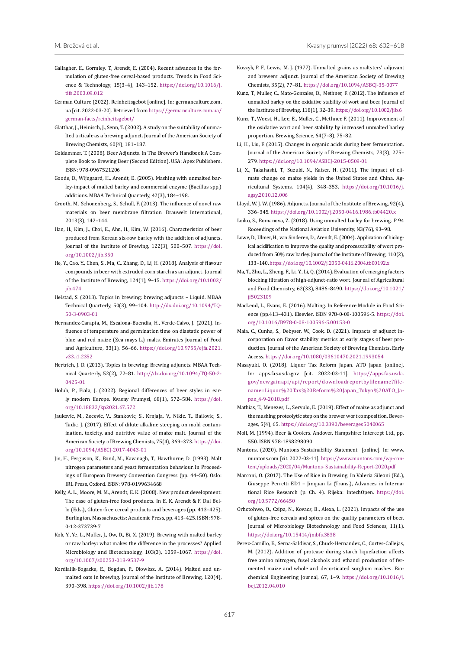- <span id="page-15-12"></span>Gallagher, E., Gormley, T., Arendt, E. (2004). Recent advances in the formulation of gluten-free cereal-based products. Trends in Food Science & Technology, 15(3–4), 143–152. [https://doi.org/10.1016/j.](https://doi.org/10.1016/j.tifs.2003.09.012) [tifs.2003.09.012](https://doi.org/10.1016/j.tifs.2003.09.012)
- <span id="page-15-8"></span>German Culture (2022). Reinheitsgebot [online]. In: germanculture.com. ua [cit. 2022-03-20]. Retrieved from [https://germanculture.com.ua/](https://germanculture.com.ua/german-facts/reinheitsgebot/) [german-facts/reinheitsgebot/](https://germanculture.com.ua/german-facts/reinheitsgebot/)
- <span id="page-15-19"></span>Glatthar, J., Heinisch, J., Senn, T. (2002). A study on the suitability of unmalted triticale as a brewing adjunct. Journal of the American Society of Brewing Chemists, 60(4), 181–187.
- Goldammer, T. (2008). Beer Adjuncts. In The Brewer's Handbook A Complete Book to Brewing Beer (Second Edition). USA: Apex Publishers. ISBN: 978-0967521206
- <span id="page-15-17"></span>Goode, D., Wijngaard, H., Arendt, E. (2005). Mashing with unmalted barley-impact of malted barley and commercial enzyme (Bacillus spp.) additions. MBAA Technical Quarterly, 42(3), 184–198.
- <span id="page-15-15"></span>Grooth, M., Schonenberg, S., Schull, F. (2013). The influence of novel raw materials on beer membrane filtration. Brauwelt International, 2013(3), 142–144.
- <span id="page-15-30"></span>Han, H., Kim, J., Choi, E., Ahn, H., Kim, W. (2016). Characteristics of beer produced from Korean six-row barley with the addition of adjuncts. Journal of the Institute of Brewing, 122(3), 500–507. [https://doi.](https://doi.org/10.1002/jib.350) [org/10.1002/jib.350](https://doi.org/10.1002/jib.350)
- <span id="page-15-27"></span>He, Y., Cao, Y., Chen, S., Ma, C., Zhang, D., Li, H. (2018). Analysis of flavour compounds in beer with extruded corn starch as an adjunct. Journal of the Institute of Brewing, 124(1), 9–15. [https://doi.org/10.1002/](https://doi.org/10.1002/jib.474) iih.474
- <span id="page-15-5"></span>Helstad, S. (2013). Topics in brewing: brewing adjuncts – Liquid. MBAA Technical Quarterly, 50(3), 99–104. [http://dx.doi.org/10.1094/TQ-](http://dx.doi.org/10.1094/TQ-50-3-0903-01)[50-3-0903-01](http://dx.doi.org/10.1094/TQ-50-3-0903-01)
- <span id="page-15-22"></span>Hernandez-Carapia, M., Escalona-Buendia, H., Verde-Calvo, J. (2021). Influence of temperature and germination time on diastatic power of blue and red maize (Zea mays L.) malts. Emirates Journal of Food and Agriculture, 33(1), 56–66. [https://doi.org/10.9755/ejfa.2021.](https://doi.org/10.9755/ejfa.2021.v33.i1.2352) [v33.i1.2352](https://doi.org/10.9755/ejfa.2021.v33.i1.2352)
- <span id="page-15-3"></span>Hertrich, J. D. (2013). Topics in brewing: Brewing adjuncts. MBAA Technical Quarterly, 52(2), 72–81. [http://dx.doi.org/10.1094/TQ-50-2-](http://dx.doi.org/10.1094/TQ-50-2-0425-01) [0425-01](http://dx.doi.org/10.1094/TQ-50-2-0425-01)
- <span id="page-15-0"></span>Holub, P., Fiala, J. (2022). Regional differences of beer styles in early modern Europe. Kvasny Prumysl, 68(1), 572–584. [https://doi.](https://doi.org/10.18832/kp2021.67.572) [org/10.18832/kp2021.67.572](https://doi.org/10.18832/kp2021.67.572)
- <span id="page-15-20"></span>Jaukovic, M., Zecevic, V., Stankovic, S., Krnjaja, V., Nikic, T., Bailovic, S., Tadic, J. (2017). Effect of dilute alkaline steeping on mold contamination, toxicity, and nutritive value of maize malt. Journal of the American Society of Brewing Chemists, 75(4), 369–373. [https://doi.](https://doi.org/10.1094/ASBCJ-2017-4043-01) [org/10.1094/ASBCJ-2017-4043-01](https://doi.org/10.1094/ASBCJ-2017-4043-01)
- <span id="page-15-26"></span>Jin, H., Ferguson, K., Bond, M., Kavanagh, T., Hawthorne, D. (1993). Malt nitrogen parameters and yeast fermentation behaviour. In Proceedings of European Brewery Convention Congress (pp. 44–50). Oslo: IRL Press, Oxford. ISBN: 978-0199634668
- <span id="page-15-21"></span>Kelly, A. L., Moore, M. M., Arendt, E. K. (2008). New product development: The case of gluten-free food products. In E. K. Arendt & F. Dal Bello (Eds.), Gluten-free cereal products and beverages (pp. 413–425). Burlington, Massachusetts: Academic Press, pp. 413–425. ISBN: 978- 0-12-373739-7
- <span id="page-15-7"></span>Kok, Y., Ye, L., Muller, J., Ow, D., Bi, X. (2019). Brewing with malted barley or raw barley: what makes the difference in the processes? Applied Microbiology and Biotechnology, 103(3), 1059–1067. [https://doi.](https://doi.org/10.1007/s00253-018-9537-9) [org/10.1007/s00253-018-9537-9](https://doi.org/10.1007/s00253-018-9537-9)
- <span id="page-15-11"></span>Kordialik-Bogacka, E., Bogdan, P., Diowksz, A. (2014). Malted and unmalted oats in brewing. Journal of the Institute of Brewing, 120(4), 390–398. <https://doi.org/10.1002/jib.178>
- Koszyk, P. F., Lewis, M. J. (1977). Unmalted grains as maltsters' adjuvant and brewers' adjunct. Journal of the American Society of Brewing Chemists, 35(2), 77–81[. https://doi.org/10.1094/ASBCJ-35-0077]( https://doi.org/10.1094/ASBCJ-35-0077)
- <span id="page-15-13"></span>Kunz, T., Muller, C., Mato-Gonzales, D., Methner, F. (2012). The influence of unmalted barley on the oxidative stability of wort and beer. Journal of the Institute of Brewing, 118(1), 32–39. <https://doi.org/10.1002/jib.6>
- <span id="page-15-16"></span>Kunz, T., Woest, H., Lee, E., Muller, C., Methner, F. (2011). Improvement of the oxidative wort and beer stability by increased unmalted barley proportion. Brewing Science, 64(7–8), 75–82.
- <span id="page-15-31"></span>Li, H., Liu, F. (2015). Changes in organic acids during beer fermentation. Journal of the American Society of Brewing Chemists, 73(3), 275– 279.<https://doi.org/10.1094/ASBCJ-2015-0509-01>
- <span id="page-15-10"></span>Li, X., Takahashi, T., Suzuki, N., Kaiser, H. (2011). The impact of climate change on maize yields in the United States and China. Agricultural Systems, 104(4), 348–353. [https://doi.org/10.1016/j.](https://doi.org/10.1016/j.agsy.2010.12.006) [agsy.2010.12.006](https://doi.org/10.1016/j.agsy.2010.12.006)
- <span id="page-15-14"></span>Lloyd, W. J. W. (1986). Adjuncts. Journal of the Institute of Brewing, 92(4), 336–345.<https://doi.org/10.1002/j.2050-0416.1986.tb04420.x>
- <span id="page-15-18"></span>Loiko, S., Romanova, Z. (2018). Using unmalted barley for brewing. P 94 Roceedings of the National Aviation University, N3(76), 93–98.
- <span id="page-15-1"></span>Lowe, D., Ulmer, H., van Sinderen, D., Arendt, E. (2004). Application of biological acidification to improve the quality and processability of wort produced from 50% raw barley. Journal of the Institute of Brewing, 110(2), 133–140.<https://doi.org/10.1002/j.2050-0416.2004.tb00192.x>
- <span id="page-15-28"></span>Ma, T., Zhu, L., Zheng, F., Li, Y., Li, Q. (2014). Evaluation of emerging factors blocking filtration of high-adjunct-ratio wort. Journal of Agricultural and Food Chemistry, 62(33), 8486–8490. [https://doi.org/10.1021/](https://doi.org/10.1021/jf5023109) [jf5023109](https://doi.org/10.1021/jf5023109)
- <span id="page-15-2"></span>MacLeod, L., Evans, E. (2016). Malting. In Reference Module in Food Science (pp.413–431). Elsevier. ISBN 978-0-08-100596-5. [https://doi.](https://doi.org/10.1016/B978-0-08-100596-5.00153-0) [org/10.1016/B978-0-08-100596-5.00153-0](https://doi.org/10.1016/B978-0-08-100596-5.00153-0)
- <span id="page-15-23"></span>Maia, C., Cunha, S., Debyser, W., Cook, D. (2021). Impacts of adjunct incorporation on flavor stability metrics at early stages of beer production. Journal of the American Society of Brewing Chemists, Early Access. <https://doi.org/10.1080/03610470.2021.1993054>
- <span id="page-15-6"></span>Masayuki, O. (2018). Liquor Tax Reform Japan. ATO Japan [online]. In: apps.fas.usda.gov [cit. 2022-03-11]. [https://apps.fas.usda.](https://apps.fas.usda.gov/newgainapi/api/report/downloadreportbyfilename?filename=Liquor%20Tax%20Ref) [gov/newgainapi/api/report/downloadreportbyfilename?file](https://apps.fas.usda.gov/newgainapi/api/report/downloadreportbyfilename?filename=Liquor%20Tax%20Ref)[name=Liquor%20Tax%20Reform%20Japan\\_Tokyo%20ATO\\_Ja](https://apps.fas.usda.gov/newgainapi/api/report/downloadreportbyfilename?filename=Liquor%20Tax%20Ref)[pan\\_4-9-2018.pdf](https://apps.fas.usda.gov/newgainapi/api/report/downloadreportbyfilename?filename=Liquor%20Tax%20Ref)
- <span id="page-15-24"></span>Mathias, T., Menezes, L., Servulo, E. (2019). Effect of maize as adjunct and the mashing proteolytic step on the brewer wort composition. Beverages, 5(4), 65. <https://doi.org/10.3390/beverages5040065>
- <span id="page-15-4"></span>Moll, M. (1994). Beer & Coolers. Andover, Hampshire: Intercept Ltd., pp. 550. ISBN 978-1898298090
- <span id="page-15-9"></span>Muntons. (2020). Muntons Sustainability Statement [online]. In: www. muntons.com [cit. 2022-03-11]. [https://www.muntons.com/wp-con](https://www.muntons.com/wp-content/uploads/2020/04/Muntons- Sustainability-Report-2020.pdf)[tent/uploads/2020/04/Muntons- Sustainability-Report-2020.pdf](https://www.muntons.com/wp-content/uploads/2020/04/Muntons- Sustainability-Report-2020.pdf)
- <span id="page-15-29"></span>Marconi, O. (2017). The Use of Rice in Brewing. In Valeria Sileoni (Ed.), Giuseppe Perretti ED1 – Jinquan Li (Trans.), Advances in International Rice Research (p. Ch. 4). Rijeka: IntechOpen. [https://doi.](https://doi.org/10.5772/66450) [org/10.5772/66450](https://doi.org/10.5772/66450)
- <span id="page-15-32"></span>Orhotohwo, O., Czipa, N., Kovacs, B., Alexa, L. (2021). Impacts of the use of gluten-free cereals and spices on the quality parameters of beer. Journal of Microbiology Biotechnology and Food Sciences, 11(1). <https://doi.org/10.15414/jmbfs.3838>
- <span id="page-15-25"></span>Perez-Carrillo, E., Serna-Saldivar, S., Chuck-Hernandez, C., Cortes-Callejas, M. (2012). Addition of protease during starch liquefaction affects free amino nitrogen, fusel alcohols and ethanol production of fermented maize and whole and decorticated sorghum mashes. Biochemical Engineering Journal, 67, 1–9. [https://doi.org/10.1016/j.](https://doi.org/10.1016/j.bej.2012.04.010) [bej.2012.04.010](https://doi.org/10.1016/j.bej.2012.04.010)